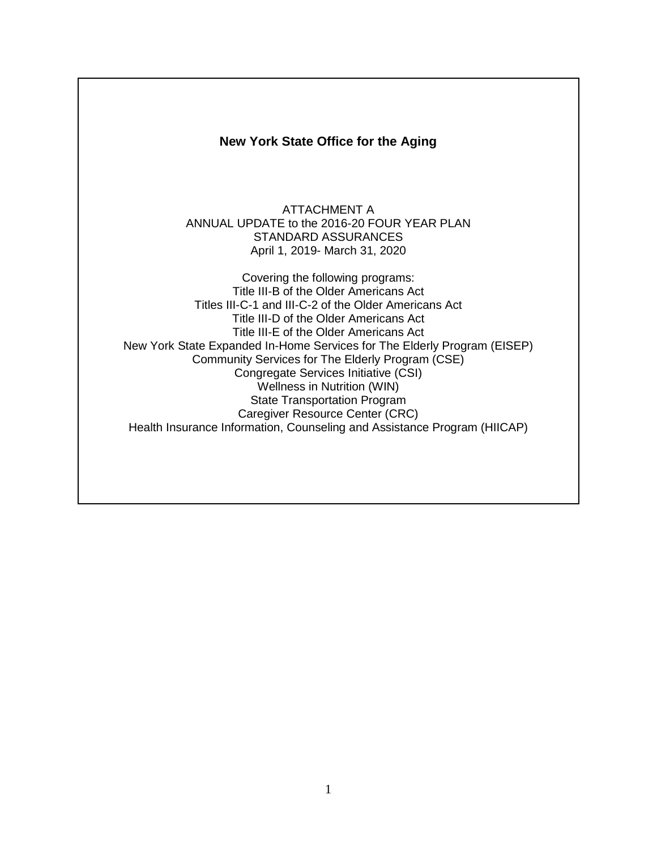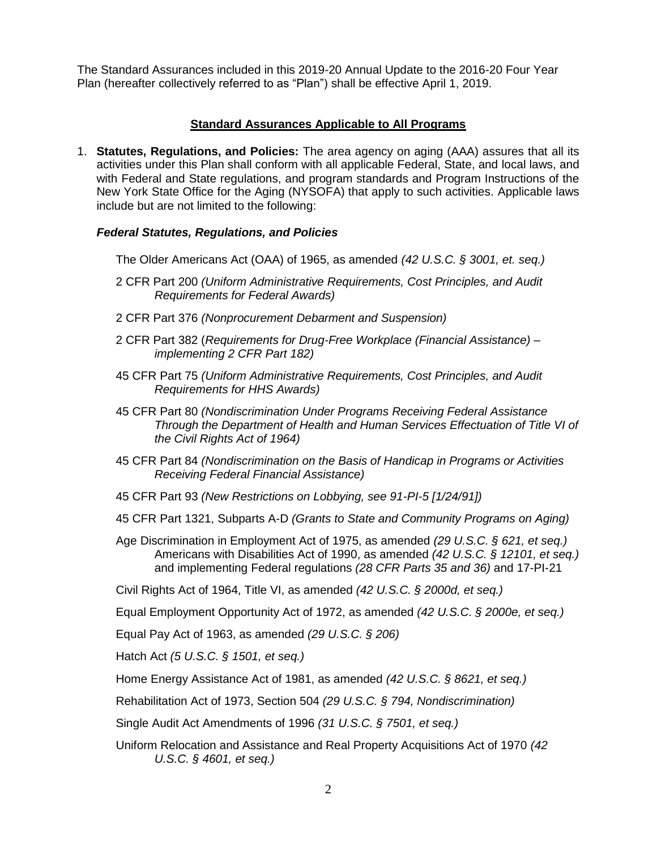The Standard Assurances included in this 2019-20 Annual Update to the 2016-20 Four Year Plan (hereafter collectively referred to as "Plan") shall be effective April 1, 2019.

## **Standard Assurances Applicable to All Programs**

1. **Statutes, Regulations, and Policies:** The area agency on aging (AAA) assures that all its activities under this Plan shall conform with all applicable Federal, State, and local laws, and with Federal and State regulations, and program standards and Program Instructions of the New York State Office for the Aging (NYSOFA) that apply to such activities. Applicable laws include but are not limited to the following:

## *Federal Statutes, Regulations, and Policies*

The Older Americans Act (OAA) of 1965, as amended *(42 U.S.C. § 3001, et. seq.)*

- 2 CFR Part 200 *(Uniform Administrative Requirements, Cost Principles, and Audit Requirements for Federal Awards)*
- 2 CFR Part 376 *(Nonprocurement Debarment and Suspension)*
- 2 CFR Part 382 (*Requirements for Drug-Free Workplace (Financial Assistance) – implementing 2 CFR Part 182)*
- 45 CFR Part 75 *(Uniform Administrative Requirements, Cost Principles, and Audit Requirements for HHS Awards)*
- 45 CFR Part 80 *(Nondiscrimination Under Programs Receiving Federal Assistance Through the Department of Health and Human Services Effectuation of Title VI of the Civil Rights Act of 1964)*
- 45 CFR Part 84 *(Nondiscrimination on the Basis of Handicap in Programs or Activities Receiving Federal Financial Assistance)*
- 45 CFR Part 93 *(New Restrictions on Lobbying, see 91-PI-5 [1/24/91])*
- 45 CFR Part 1321, Subparts A-D *(Grants to State and Community Programs on Aging)*
- Age Discrimination in Employment Act of 1975, as amended *(29 U.S.C. § 621, et seq.)*  Americans with Disabilities Act of 1990, as amended *(42 U.S.C. § 12101, et seq.)* and implementing Federal regulations *(28 CFR Parts 35 and 36)* and 17-PI-21
- Civil Rights Act of 1964, Title VI, as amended *(42 U.S.C. § 2000d, et seq.)*

Equal Employment Opportunity Act of 1972, as amended *(42 U.S.C. § 2000e, et seq.)*

- Equal Pay Act of 1963, as amended *(29 U.S.C. § 206)*
- Hatch Act *(5 U.S.C. § 1501, et seq.)*
- Home Energy Assistance Act of 1981, as amended *(42 U.S.C. § 8621, et seq.)*

Rehabilitation Act of 1973, Section 504 *(29 U.S.C. § 794, Nondiscrimination)*

Single Audit Act Amendments of 1996 *(31 U.S.C. § 7501, et seq.)*

Uniform Relocation and Assistance and Real Property Acquisitions Act of 1970 *(42 U.S.C. § 4601, et seq.)*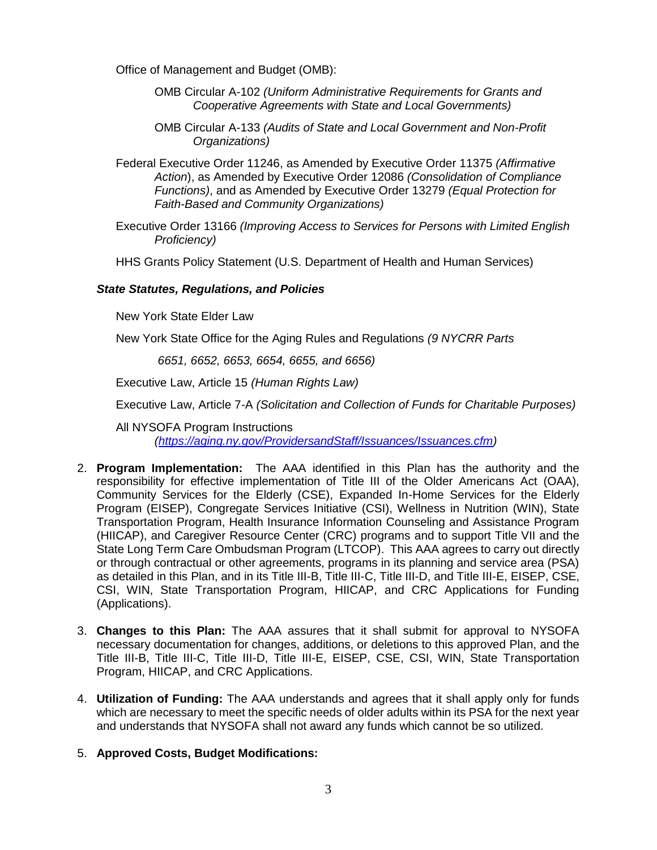Office of Management and Budget (OMB):

- OMB Circular A-102 *(Uniform Administrative Requirements for Grants and Cooperative Agreements with State and Local Governments)*
- OMB Circular A-133 *(Audits of State and Local Government and Non-Profit Organizations)*
- Federal Executive Order 11246, as Amended by Executive Order 11375 *(Affirmative Action*), as Amended by Executive Order 12086 *(Consolidation of Compliance Functions)*, and as Amended by Executive Order 13279 *(Equal Protection for Faith-Based and Community Organizations)*
- Executive Order 13166 *(Improving Access to Services for Persons with Limited English Proficiency)*
- HHS Grants Policy Statement (U.S. Department of Health and Human Services)

#### *State Statutes, Regulations, and Policies*

New York State Elder Law

New York State Office for the Aging Rules and Regulations *(9 NYCRR Parts*

*6651, 6652, 6653, 6654, 6655, and 6656)* 

Executive Law, Article 15 *(Human Rights Law)*

Executive Law, Article 7-A *(Solicitation and Collection of Funds for Charitable Purposes)*

All NYSOFA Program Instructions *[\(https://aging.ny.gov/ProvidersandStaff/Issuances/Issuances.cfm\)](https://aging.ny.gov/ProvidersandStaff/Issuances/Issuances.cfm)*

- 2. **Program Implementation:** The AAA identified in this Plan has the authority and the responsibility for effective implementation of Title III of the Older Americans Act (OAA), Community Services for the Elderly (CSE), Expanded In-Home Services for the Elderly Program (EISEP), Congregate Services Initiative (CSI), Wellness in Nutrition (WIN), State Transportation Program, Health Insurance Information Counseling and Assistance Program (HIICAP), and Caregiver Resource Center (CRC) programs and to support Title VII and the State Long Term Care Ombudsman Program (LTCOP). This AAA agrees to carry out directly or through contractual or other agreements, programs in its planning and service area (PSA) as detailed in this Plan, and in its Title III-B, Title III-C, Title III-D, and Title III-E, EISEP, CSE, CSI, WIN, State Transportation Program, HIICAP, and CRC Applications for Funding (Applications).
- 3. **Changes to this Plan:** The AAA assures that it shall submit for approval to NYSOFA necessary documentation for changes, additions, or deletions to this approved Plan, and the Title III-B, Title III-C, Title III-D, Title III-E, EISEP, CSE, CSI, WIN, State Transportation Program, HIICAP, and CRC Applications.
- 4. **Utilization of Funding:** The AAA understands and agrees that it shall apply only for funds which are necessary to meet the specific needs of older adults within its PSA for the next year and understands that NYSOFA shall not award any funds which cannot be so utilized.
- 5. **Approved Costs, Budget Modifications:**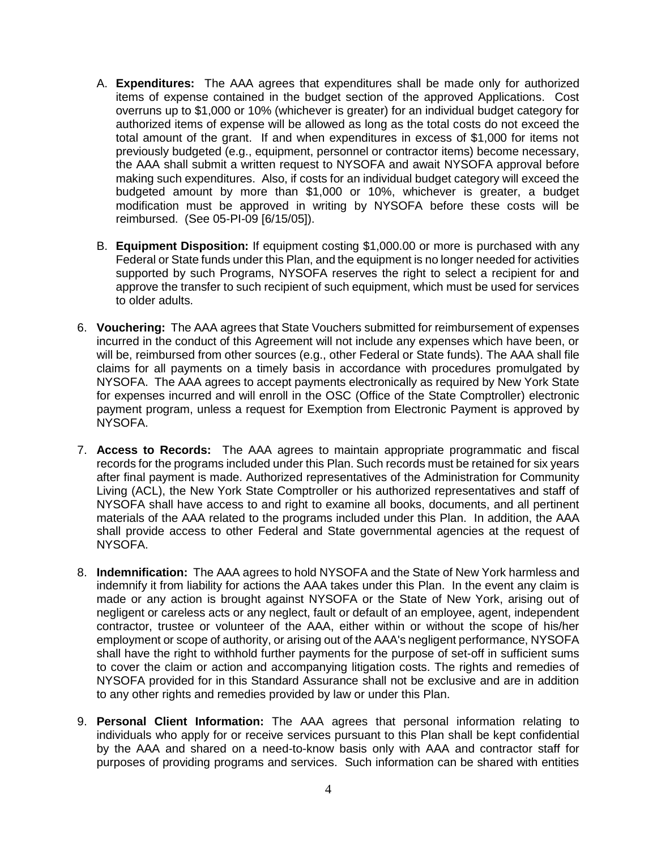- A. **Expenditures:** The AAA agrees that expenditures shall be made only for authorized items of expense contained in the budget section of the approved Applications. Cost overruns up to \$1,000 or 10% (whichever is greater) for an individual budget category for authorized items of expense will be allowed as long as the total costs do not exceed the total amount of the grant. If and when expenditures in excess of \$1,000 for items not previously budgeted (e.g., equipment, personnel or contractor items) become necessary, the AAA shall submit a written request to NYSOFA and await NYSOFA approval before making such expenditures. Also, if costs for an individual budget category will exceed the budgeted amount by more than \$1,000 or 10%, whichever is greater, a budget modification must be approved in writing by NYSOFA before these costs will be reimbursed. (See 05-PI-09 [6/15/05]).
- B. **Equipment Disposition:** If equipment costing \$1,000.00 or more is purchased with any Federal or State funds under this Plan, and the equipment is no longer needed for activities supported by such Programs, NYSOFA reserves the right to select a recipient for and approve the transfer to such recipient of such equipment, which must be used for services to older adults.
- 6. **Vouchering:** The AAA agrees that State Vouchers submitted for reimbursement of expenses incurred in the conduct of this Agreement will not include any expenses which have been, or will be, reimbursed from other sources (e.g., other Federal or State funds). The AAA shall file claims for all payments on a timely basis in accordance with procedures promulgated by NYSOFA. The AAA agrees to accept payments electronically as required by New York State for expenses incurred and will enroll in the OSC (Office of the State Comptroller) electronic payment program, unless a request for Exemption from Electronic Payment is approved by NYSOFA.
- 7. **Access to Records:** The AAA agrees to maintain appropriate programmatic and fiscal records for the programs included under this Plan. Such records must be retained for six years after final payment is made. Authorized representatives of the Administration for Community Living (ACL), the New York State Comptroller or his authorized representatives and staff of NYSOFA shall have access to and right to examine all books, documents, and all pertinent materials of the AAA related to the programs included under this Plan. In addition, the AAA shall provide access to other Federal and State governmental agencies at the request of NYSOFA.
- 8. **Indemnification:** The AAA agrees to hold NYSOFA and the State of New York harmless and indemnify it from liability for actions the AAA takes under this Plan. In the event any claim is made or any action is brought against NYSOFA or the State of New York, arising out of negligent or careless acts or any neglect, fault or default of an employee, agent, independent contractor, trustee or volunteer of the AAA, either within or without the scope of his/her employment or scope of authority, or arising out of the AAA's negligent performance, NYSOFA shall have the right to withhold further payments for the purpose of set-off in sufficient sums to cover the claim or action and accompanying litigation costs. The rights and remedies of NYSOFA provided for in this Standard Assurance shall not be exclusive and are in addition to any other rights and remedies provided by law or under this Plan.
- 9. **Personal Client Information:** The AAA agrees that personal information relating to individuals who apply for or receive services pursuant to this Plan shall be kept confidential by the AAA and shared on a need-to-know basis only with AAA and contractor staff for purposes of providing programs and services. Such information can be shared with entities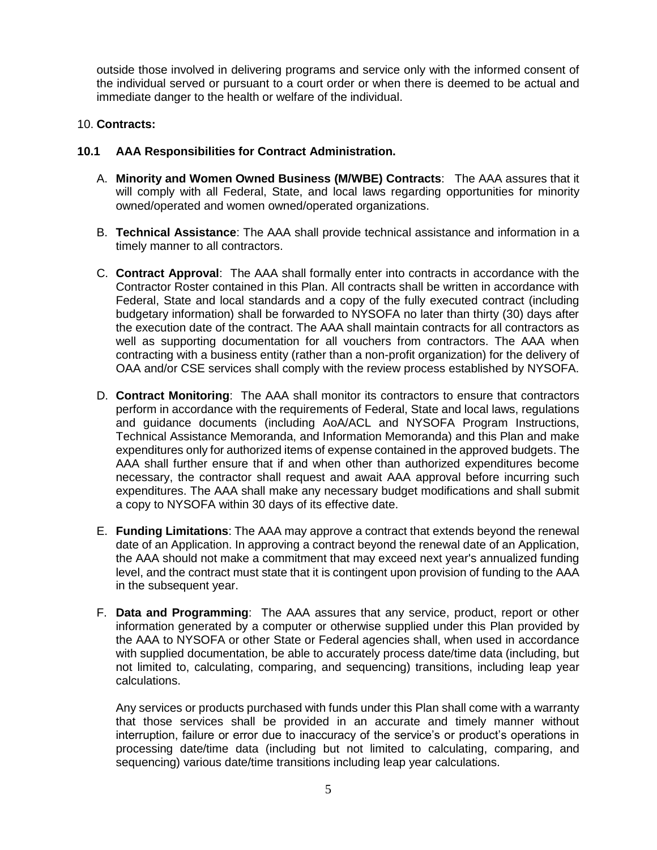outside those involved in delivering programs and service only with the informed consent of the individual served or pursuant to a court order or when there is deemed to be actual and immediate danger to the health or welfare of the individual.

## 10. **Contracts:**

## **10.1 AAA Responsibilities for Contract Administration.**

- A. **Minority and Women Owned Business (M/WBE) Contracts**: The AAA assures that it will comply with all Federal, State, and local laws regarding opportunities for minority owned/operated and women owned/operated organizations.
- B. **Technical Assistance**: The AAA shall provide technical assistance and information in a timely manner to all contractors.
- C. **Contract Approval**: The AAA shall formally enter into contracts in accordance with the Contractor Roster contained in this Plan. All contracts shall be written in accordance with Federal, State and local standards and a copy of the fully executed contract (including budgetary information) shall be forwarded to NYSOFA no later than thirty (30) days after the execution date of the contract. The AAA shall maintain contracts for all contractors as well as supporting documentation for all vouchers from contractors. The AAA when contracting with a business entity (rather than a non-profit organization) for the delivery of OAA and/or CSE services shall comply with the review process established by NYSOFA.
- D. **Contract Monitoring**: The AAA shall monitor its contractors to ensure that contractors perform in accordance with the requirements of Federal, State and local laws, regulations and guidance documents (including AoA/ACL and NYSOFA Program Instructions, Technical Assistance Memoranda, and Information Memoranda) and this Plan and make expenditures only for authorized items of expense contained in the approved budgets. The AAA shall further ensure that if and when other than authorized expenditures become necessary, the contractor shall request and await AAA approval before incurring such expenditures. The AAA shall make any necessary budget modifications and shall submit a copy to NYSOFA within 30 days of its effective date.
- E. **Funding Limitations**: The AAA may approve a contract that extends beyond the renewal date of an Application. In approving a contract beyond the renewal date of an Application, the AAA should not make a commitment that may exceed next year's annualized funding level, and the contract must state that it is contingent upon provision of funding to the AAA in the subsequent year.
- F. **Data and Programming**: The AAA assures that any service, product, report or other information generated by a computer or otherwise supplied under this Plan provided by the AAA to NYSOFA or other State or Federal agencies shall, when used in accordance with supplied documentation, be able to accurately process date/time data (including, but not limited to, calculating, comparing, and sequencing) transitions, including leap year calculations.

Any services or products purchased with funds under this Plan shall come with a warranty that those services shall be provided in an accurate and timely manner without interruption, failure or error due to inaccuracy of the service's or product's operations in processing date/time data (including but not limited to calculating, comparing, and sequencing) various date/time transitions including leap year calculations.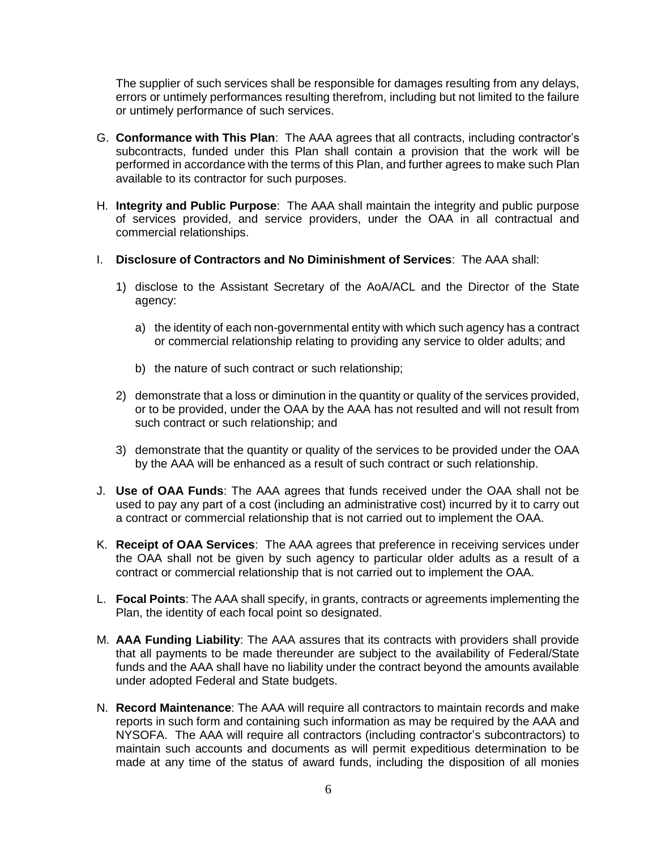The supplier of such services shall be responsible for damages resulting from any delays, errors or untimely performances resulting therefrom, including but not limited to the failure or untimely performance of such services.

- G. **Conformance with This Plan**: The AAA agrees that all contracts, including contractor's subcontracts, funded under this Plan shall contain a provision that the work will be performed in accordance with the terms of this Plan, and further agrees to make such Plan available to its contractor for such purposes.
- H. **Integrity and Public Purpose**: The AAA shall maintain the integrity and public purpose of services provided, and service providers, under the OAA in all contractual and commercial relationships.
- I. **Disclosure of Contractors and No Diminishment of Services**: The AAA shall:
	- 1) disclose to the Assistant Secretary of the AoA/ACL and the Director of the State agency:
		- a) the identity of each non-governmental entity with which such agency has a contract or commercial relationship relating to providing any service to older adults; and
		- b) the nature of such contract or such relationship;
	- 2) demonstrate that a loss or diminution in the quantity or quality of the services provided, or to be provided, under the OAA by the AAA has not resulted and will not result from such contract or such relationship; and
	- 3) demonstrate that the quantity or quality of the services to be provided under the OAA by the AAA will be enhanced as a result of such contract or such relationship.
- J. **Use of OAA Funds**: The AAA agrees that funds received under the OAA shall not be used to pay any part of a cost (including an administrative cost) incurred by it to carry out a contract or commercial relationship that is not carried out to implement the OAA.
- K. **Receipt of OAA Services**: The AAA agrees that preference in receiving services under the OAA shall not be given by such agency to particular older adults as a result of a contract or commercial relationship that is not carried out to implement the OAA.
- L. **Focal Points**: The AAA shall specify, in grants, contracts or agreements implementing the Plan, the identity of each focal point so designated.
- M. **AAA Funding Liability**: The AAA assures that its contracts with providers shall provide that all payments to be made thereunder are subject to the availability of Federal/State funds and the AAA shall have no liability under the contract beyond the amounts available under adopted Federal and State budgets.
- N. **Record Maintenance**: The AAA will require all contractors to maintain records and make reports in such form and containing such information as may be required by the AAA and NYSOFA. The AAA will require all contractors (including contractor's subcontractors) to maintain such accounts and documents as will permit expeditious determination to be made at any time of the status of award funds, including the disposition of all monies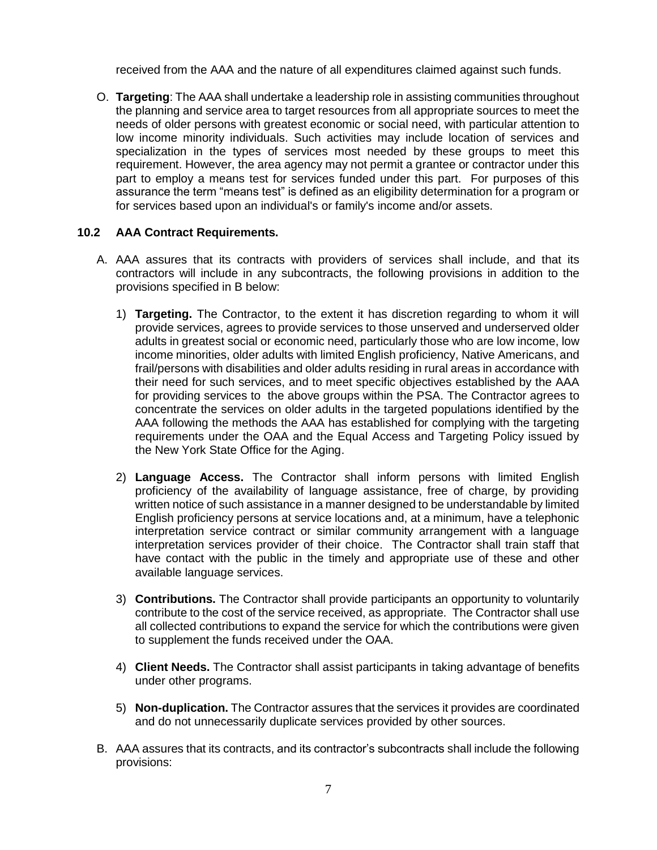received from the AAA and the nature of all expenditures claimed against such funds.

O. **Targeting**: The AAA shall undertake a leadership role in assisting communities throughout the planning and service area to target resources from all appropriate sources to meet the needs of older persons with greatest economic or social need, with particular attention to low income minority individuals. Such activities may include location of services and specialization in the types of services most needed by these groups to meet this requirement. However, the area agency may not permit a grantee or contractor under this part to employ a means test for services funded under this part. For purposes of this assurance the term "means test" is defined as an eligibility determination for a program or for services based upon an individual's or family's income and/or assets.

#### **10.2 AAA Contract Requirements.**

- A. AAA assures that its contracts with providers of services shall include, and that its contractors will include in any subcontracts, the following provisions in addition to the provisions specified in B below:
	- 1) **Targeting.** The Contractor, to the extent it has discretion regarding to whom it will provide services, agrees to provide services to those unserved and underserved older adults in greatest social or economic need, particularly those who are low income, low income minorities, older adults with limited English proficiency, Native Americans, and frail/persons with disabilities and older adults residing in rural areas in accordance with their need for such services, and to meet specific objectives established by the AAA for providing services to the above groups within the PSA. The Contractor agrees to concentrate the services on older adults in the targeted populations identified by the AAA following the methods the AAA has established for complying with the targeting requirements under the OAA and the Equal Access and Targeting Policy issued by the New York State Office for the Aging.
	- 2) **Language Access.** The Contractor shall inform persons with limited English proficiency of the availability of language assistance, free of charge, by providing written notice of such assistance in a manner designed to be understandable by limited English proficiency persons at service locations and, at a minimum, have a telephonic interpretation service contract or similar community arrangement with a language interpretation services provider of their choice. The Contractor shall train staff that have contact with the public in the timely and appropriate use of these and other available language services.
	- 3) **Contributions.** The Contractor shall provide participants an opportunity to voluntarily contribute to the cost of the service received, as appropriate. The Contractor shall use all collected contributions to expand the service for which the contributions were given to supplement the funds received under the OAA.
	- 4) **Client Needs.** The Contractor shall assist participants in taking advantage of benefits under other programs.
	- 5) **Non-duplication.** The Contractor assures that the services it provides are coordinated and do not unnecessarily duplicate services provided by other sources.
- B. AAA assures that its contracts, and its contractor's subcontracts shall include the following provisions: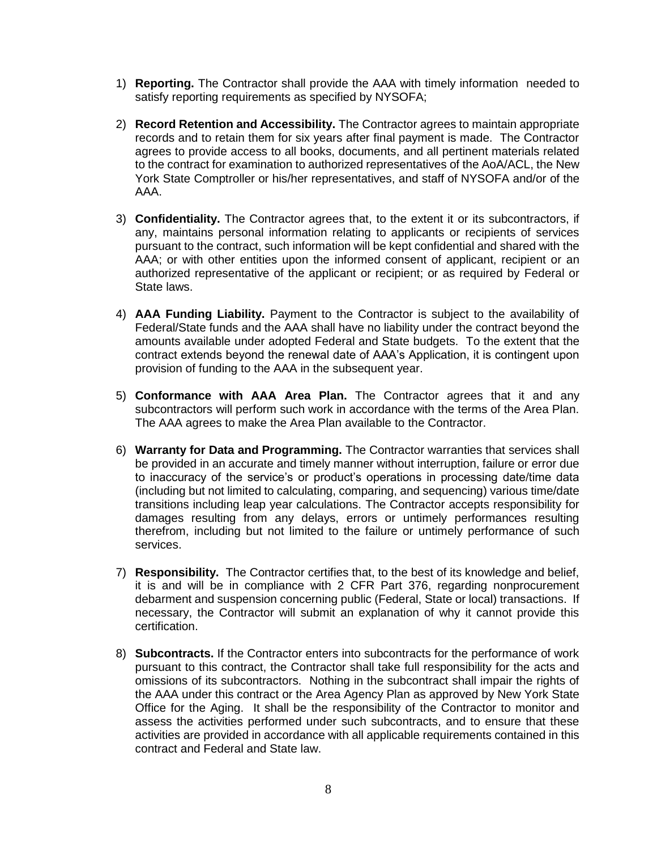- 1) **Reporting.** The Contractor shall provide the AAA with timely information needed to satisfy reporting requirements as specified by NYSOFA;
- 2) **Record Retention and Accessibility.** The Contractor agrees to maintain appropriate records and to retain them for six years after final payment is made. The Contractor agrees to provide access to all books, documents, and all pertinent materials related to the contract for examination to authorized representatives of the AoA/ACL, the New York State Comptroller or his/her representatives, and staff of NYSOFA and/or of the AAA.
- 3) **Confidentiality.** The Contractor agrees that, to the extent it or its subcontractors, if any, maintains personal information relating to applicants or recipients of services pursuant to the contract, such information will be kept confidential and shared with the AAA; or with other entities upon the informed consent of applicant, recipient or an authorized representative of the applicant or recipient; or as required by Federal or State laws.
- 4) **AAA Funding Liability.** Payment to the Contractor is subject to the availability of Federal/State funds and the AAA shall have no liability under the contract beyond the amounts available under adopted Federal and State budgets. To the extent that the contract extends beyond the renewal date of AAA's Application, it is contingent upon provision of funding to the AAA in the subsequent year.
- 5) **Conformance with AAA Area Plan.** The Contractor agrees that it and any subcontractors will perform such work in accordance with the terms of the Area Plan. The AAA agrees to make the Area Plan available to the Contractor.
- 6) **Warranty for Data and Programming.** The Contractor warranties that services shall be provided in an accurate and timely manner without interruption, failure or error due to inaccuracy of the service's or product's operations in processing date/time data (including but not limited to calculating, comparing, and sequencing) various time/date transitions including leap year calculations. The Contractor accepts responsibility for damages resulting from any delays, errors or untimely performances resulting therefrom, including but not limited to the failure or untimely performance of such services.
- 7) **Responsibility.** The Contractor certifies that, to the best of its knowledge and belief, it is and will be in compliance with 2 CFR Part 376, regarding nonprocurement debarment and suspension concerning public (Federal, State or local) transactions. If necessary, the Contractor will submit an explanation of why it cannot provide this certification.
- 8) **Subcontracts.** If the Contractor enters into subcontracts for the performance of work pursuant to this contract, the Contractor shall take full responsibility for the acts and omissions of its subcontractors. Nothing in the subcontract shall impair the rights of the AAA under this contract or the Area Agency Plan as approved by New York State Office for the Aging. It shall be the responsibility of the Contractor to monitor and assess the activities performed under such subcontracts, and to ensure that these activities are provided in accordance with all applicable requirements contained in this contract and Federal and State law.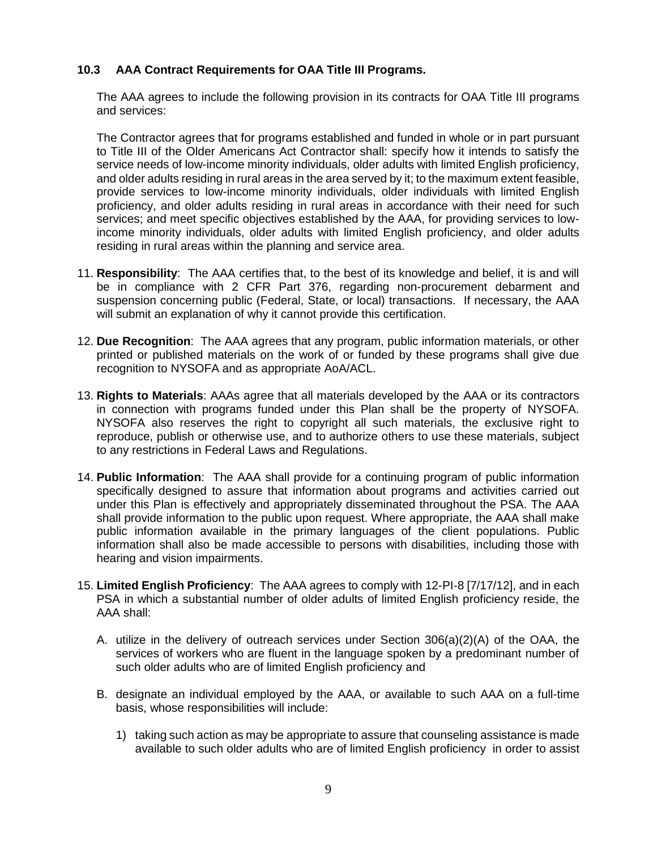## **10.3 AAA Contract Requirements for OAA Title III Programs.**

The AAA agrees to include the following provision in its contracts for OAA Title III programs and services:

The Contractor agrees that for programs established and funded in whole or in part pursuant to Title III of the Older Americans Act Contractor shall: specify how it intends to satisfy the service needs of low-income minority individuals, older adults with limited English proficiency, and older adults residing in rural areas in the area served by it; to the maximum extent feasible, provide services to low-income minority individuals, older individuals with limited English proficiency, and older adults residing in rural areas in accordance with their need for such services; and meet specific objectives established by the AAA, for providing services to lowincome minority individuals, older adults with limited English proficiency, and older adults residing in rural areas within the planning and service area.

- 11. **Responsibility**: The AAA certifies that, to the best of its knowledge and belief, it is and will be in compliance with 2 CFR Part 376, regarding non-procurement debarment and suspension concerning public (Federal, State, or local) transactions. If necessary, the AAA will submit an explanation of why it cannot provide this certification.
- 12. **Due Recognition**: The AAA agrees that any program, public information materials, or other printed or published materials on the work of or funded by these programs shall give due recognition to NYSOFA and as appropriate AoA/ACL.
- 13. **Rights to Materials**: AAAs agree that all materials developed by the AAA or its contractors in connection with programs funded under this Plan shall be the property of NYSOFA. NYSOFA also reserves the right to copyright all such materials, the exclusive right to reproduce, publish or otherwise use, and to authorize others to use these materials, subject to any restrictions in Federal Laws and Regulations.
- 14. **Public Information**: The AAA shall provide for a continuing program of public information specifically designed to assure that information about programs and activities carried out under this Plan is effectively and appropriately disseminated throughout the PSA. The AAA shall provide information to the public upon request. Where appropriate, the AAA shall make public information available in the primary languages of the client populations. Public information shall also be made accessible to persons with disabilities, including those with hearing and vision impairments.
- 15. **Limited English Proficiency**: The AAA agrees to comply with 12-PI-8 [7/17/12], and in each PSA in which a substantial number of older adults of limited English proficiency reside, the AAA shall:
	- A. utilize in the delivery of outreach services under Section 306(a)(2)(A) of the OAA, the services of workers who are fluent in the language spoken by a predominant number of such older adults who are of limited English proficiency and
	- B. designate an individual employed by the AAA, or available to such AAA on a full-time basis, whose responsibilities will include:
		- 1) taking such action as may be appropriate to assure that counseling assistance is made available to such older adults who are of limited English proficiency in order to assist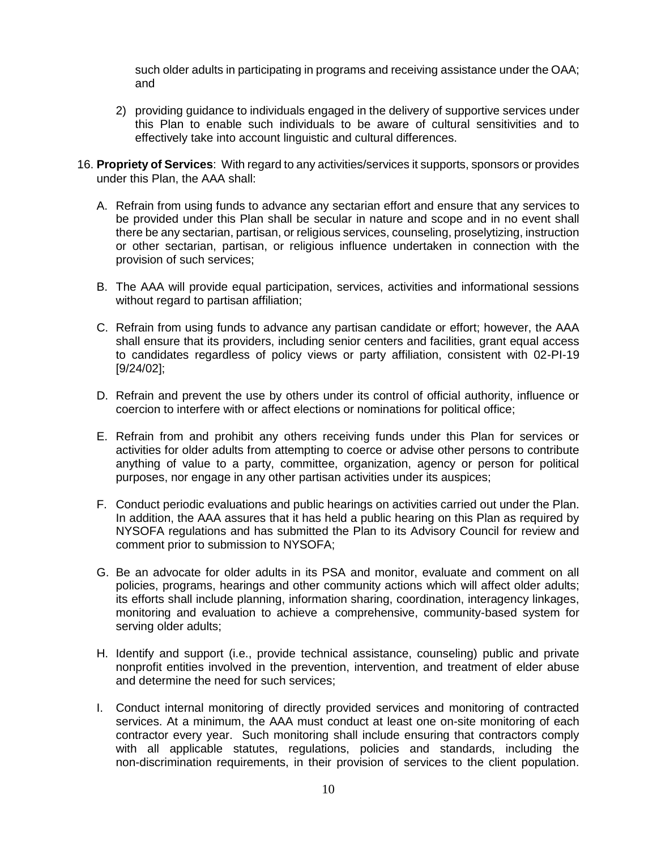such older adults in participating in programs and receiving assistance under the OAA; and

- 2) providing guidance to individuals engaged in the delivery of supportive services under this Plan to enable such individuals to be aware of cultural sensitivities and to effectively take into account linguistic and cultural differences.
- 16. **Propriety of Services**: With regard to any activities/services it supports, sponsors or provides under this Plan, the AAA shall:
	- A. Refrain from using funds to advance any sectarian effort and ensure that any services to be provided under this Plan shall be secular in nature and scope and in no event shall there be any sectarian, partisan, or religious services, counseling, proselytizing, instruction or other sectarian, partisan, or religious influence undertaken in connection with the provision of such services;
	- B. The AAA will provide equal participation, services, activities and informational sessions without regard to partisan affiliation;
	- C. Refrain from using funds to advance any partisan candidate or effort; however, the AAA shall ensure that its providers, including senior centers and facilities, grant equal access to candidates regardless of policy views or party affiliation, consistent with 02-PI-19 [9/24/02];
	- D. Refrain and prevent the use by others under its control of official authority, influence or coercion to interfere with or affect elections or nominations for political office;
	- E. Refrain from and prohibit any others receiving funds under this Plan for services or activities for older adults from attempting to coerce or advise other persons to contribute anything of value to a party, committee, organization, agency or person for political purposes, nor engage in any other partisan activities under its auspices;
	- F. Conduct periodic evaluations and public hearings on activities carried out under the Plan. In addition, the AAA assures that it has held a public hearing on this Plan as required by NYSOFA regulations and has submitted the Plan to its Advisory Council for review and comment prior to submission to NYSOFA;
	- G. Be an advocate for older adults in its PSA and monitor, evaluate and comment on all policies, programs, hearings and other community actions which will affect older adults; its efforts shall include planning, information sharing, coordination, interagency linkages, monitoring and evaluation to achieve a comprehensive, community-based system for serving older adults;
	- H. Identify and support (i.e., provide technical assistance, counseling) public and private nonprofit entities involved in the prevention, intervention, and treatment of elder abuse and determine the need for such services;
	- I. Conduct internal monitoring of directly provided services and monitoring of contracted services. At a minimum, the AAA must conduct at least one on-site monitoring of each contractor every year. Such monitoring shall include ensuring that contractors comply with all applicable statutes, regulations, policies and standards, including the non-discrimination requirements, in their provision of services to the client population.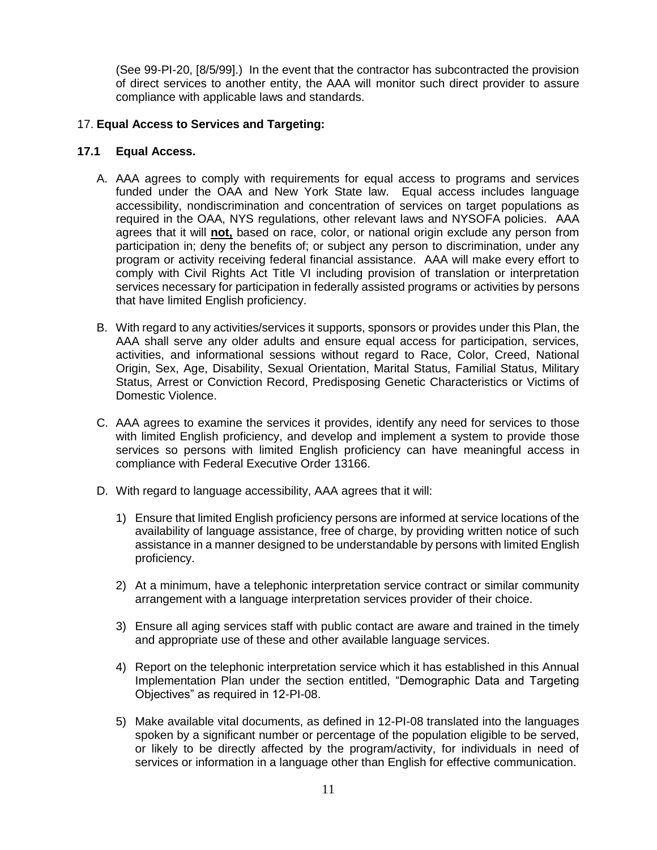(See 99-PI-20, [8/5/99].) In the event that the contractor has subcontracted the provision of direct services to another entity, the AAA will monitor such direct provider to assure compliance with applicable laws and standards.

## 17. **Equal Access to Services and Targeting:**

#### **17.1 Equal Access.**

- A. AAA agrees to comply with requirements for equal access to programs and services funded under the OAA and New York State law. Equal access includes language accessibility, nondiscrimination and concentration of services on target populations as required in the OAA, NYS regulations, other relevant laws and NYSOFA policies. AAA agrees that it will **not,** based on race, color, or national origin exclude any person from participation in; deny the benefits of; or subject any person to discrimination, under any program or activity receiving federal financial assistance. AAA will make every effort to comply with Civil Rights Act Title VI including provision of translation or interpretation services necessary for participation in federally assisted programs or activities by persons that have limited English proficiency.
- B. With regard to any activities/services it supports, sponsors or provides under this Plan, the AAA shall serve any older adults and ensure equal access for participation, services, activities, and informational sessions without regard to Race, Color, Creed, National Origin, Sex, Age, Disability, Sexual Orientation, Marital Status, Familial Status, Military Status, Arrest or Conviction Record, Predisposing Genetic Characteristics or Victims of Domestic Violence.
- C. AAA agrees to examine the services it provides, identify any need for services to those with limited English proficiency, and develop and implement a system to provide those services so persons with limited English proficiency can have meaningful access in compliance with Federal Executive Order 13166.
- D. With regard to language accessibility, AAA agrees that it will:
	- 1) Ensure that limited English proficiency persons are informed at service locations of the availability of language assistance, free of charge, by providing written notice of such assistance in a manner designed to be understandable by persons with limited English proficiency.
	- 2) At a minimum, have a telephonic interpretation service contract or similar community arrangement with a language interpretation services provider of their choice.
	- 3) Ensure all aging services staff with public contact are aware and trained in the timely and appropriate use of these and other available language services.
	- 4) Report on the telephonic interpretation service which it has established in this Annual Implementation Plan under the section entitled, "Demographic Data and Targeting Objectives" as required in 12-PI-08.
	- 5) Make available vital documents, as defined in 12-PI-08 translated into the languages spoken by a significant number or percentage of the population eligible to be served, or likely to be directly affected by the program/activity, for individuals in need of services or information in a language other than English for effective communication.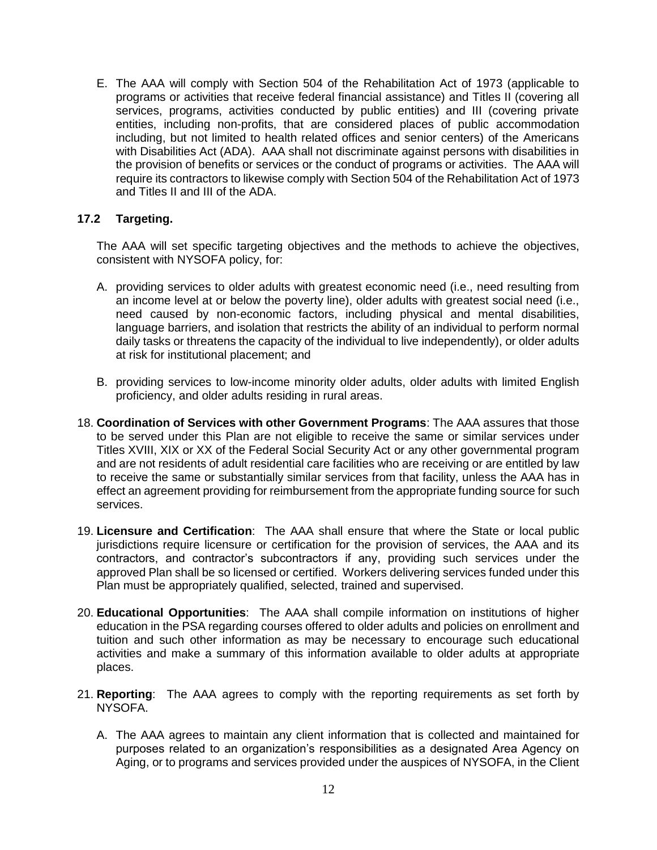E. The AAA will comply with Section 504 of the Rehabilitation Act of 1973 (applicable to programs or activities that receive federal financial assistance) and Titles II (covering all services, programs, activities conducted by public entities) and III (covering private entities, including non-profits, that are considered places of public accommodation including, but not limited to health related offices and senior centers) of the Americans with Disabilities Act (ADA). AAA shall not discriminate against persons with disabilities in the provision of benefits or services or the conduct of programs or activities. The AAA will require its contractors to likewise comply with Section 504 of the Rehabilitation Act of 1973 and Titles II and III of the ADA.

## **17.2 Targeting.**

The AAA will set specific targeting objectives and the methods to achieve the objectives, consistent with NYSOFA policy, for:

- A. providing services to older adults with greatest economic need (i.e., need resulting from an income level at or below the poverty line), older adults with greatest social need (i.e., need caused by non-economic factors, including physical and mental disabilities, language barriers, and isolation that restricts the ability of an individual to perform normal daily tasks or threatens the capacity of the individual to live independently), or older adults at risk for institutional placement; and
- B. providing services to low-income minority older adults, older adults with limited English proficiency, and older adults residing in rural areas.
- 18. **Coordination of Services with other Government Programs**: The AAA assures that those to be served under this Plan are not eligible to receive the same or similar services under Titles XVIII, XIX or XX of the Federal Social Security Act or any other governmental program and are not residents of adult residential care facilities who are receiving or are entitled by law to receive the same or substantially similar services from that facility, unless the AAA has in effect an agreement providing for reimbursement from the appropriate funding source for such services.
- 19. **Licensure and Certification**: The AAA shall ensure that where the State or local public jurisdictions require licensure or certification for the provision of services, the AAA and its contractors, and contractor's subcontractors if any, providing such services under the approved Plan shall be so licensed or certified. Workers delivering services funded under this Plan must be appropriately qualified, selected, trained and supervised.
- 20. **Educational Opportunities**: The AAA shall compile information on institutions of higher education in the PSA regarding courses offered to older adults and policies on enrollment and tuition and such other information as may be necessary to encourage such educational activities and make a summary of this information available to older adults at appropriate places.
- 21. **Reporting**: The AAA agrees to comply with the reporting requirements as set forth by NYSOFA.
	- A. The AAA agrees to maintain any client information that is collected and maintained for purposes related to an organization's responsibilities as a designated Area Agency on Aging, or to programs and services provided under the auspices of NYSOFA, in the Client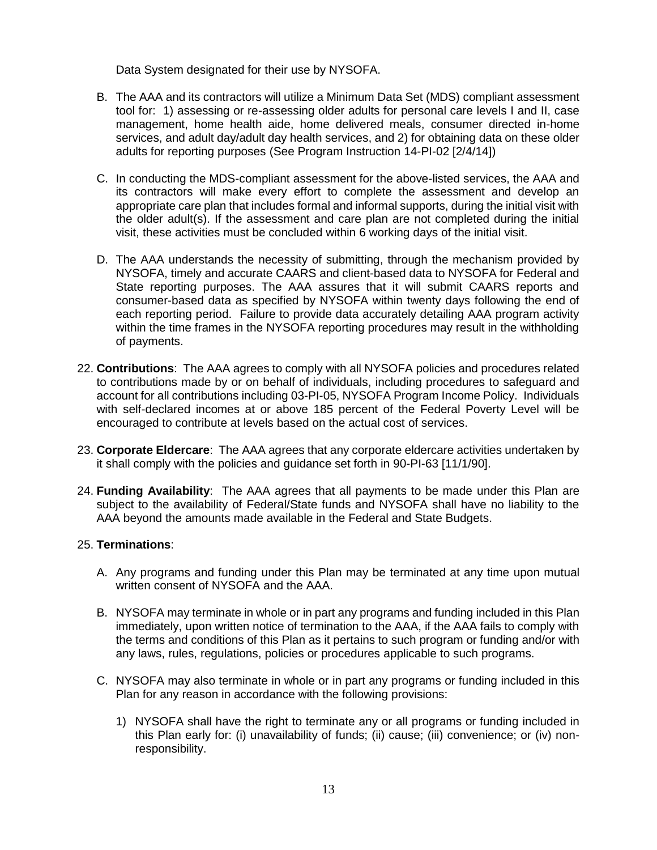Data System designated for their use by NYSOFA.

- B. The AAA and its contractors will utilize a Minimum Data Set (MDS) compliant assessment tool for: 1) assessing or re-assessing older adults for personal care levels I and II, case management, home health aide, home delivered meals, consumer directed in-home services, and adult day/adult day health services, and 2) for obtaining data on these older adults for reporting purposes (See Program Instruction 14-PI-02 [2/4/14])
- C. In conducting the MDS-compliant assessment for the above-listed services, the AAA and its contractors will make every effort to complete the assessment and develop an appropriate care plan that includes formal and informal supports, during the initial visit with the older adult(s). If the assessment and care plan are not completed during the initial visit, these activities must be concluded within 6 working days of the initial visit.
- D. The AAA understands the necessity of submitting, through the mechanism provided by NYSOFA, timely and accurate CAARS and client-based data to NYSOFA for Federal and State reporting purposes. The AAA assures that it will submit CAARS reports and consumer-based data as specified by NYSOFA within twenty days following the end of each reporting period. Failure to provide data accurately detailing AAA program activity within the time frames in the NYSOFA reporting procedures may result in the withholding of payments.
- 22. **Contributions**: The AAA agrees to comply with all NYSOFA policies and procedures related to contributions made by or on behalf of individuals, including procedures to safeguard and account for all contributions including 03-PI-05, NYSOFA Program Income Policy. Individuals with self-declared incomes at or above 185 percent of the Federal Poverty Level will be encouraged to contribute at levels based on the actual cost of services.
- 23. **Corporate Eldercare**: The AAA agrees that any corporate eldercare activities undertaken by it shall comply with the policies and guidance set forth in 90-PI-63 [11/1/90].
- 24. **Funding Availability**: The AAA agrees that all payments to be made under this Plan are subject to the availability of Federal/State funds and NYSOFA shall have no liability to the AAA beyond the amounts made available in the Federal and State Budgets.

#### 25. **Terminations**:

- A. Any programs and funding under this Plan may be terminated at any time upon mutual written consent of NYSOFA and the AAA.
- B. NYSOFA may terminate in whole or in part any programs and funding included in this Plan immediately, upon written notice of termination to the AAA, if the AAA fails to comply with the terms and conditions of this Plan as it pertains to such program or funding and/or with any laws, rules, regulations, policies or procedures applicable to such programs.
- C. NYSOFA may also terminate in whole or in part any programs or funding included in this Plan for any reason in accordance with the following provisions:
	- 1) NYSOFA shall have the right to terminate any or all programs or funding included in this Plan early for: (i) unavailability of funds; (ii) cause; (iii) convenience; or (iv) nonresponsibility.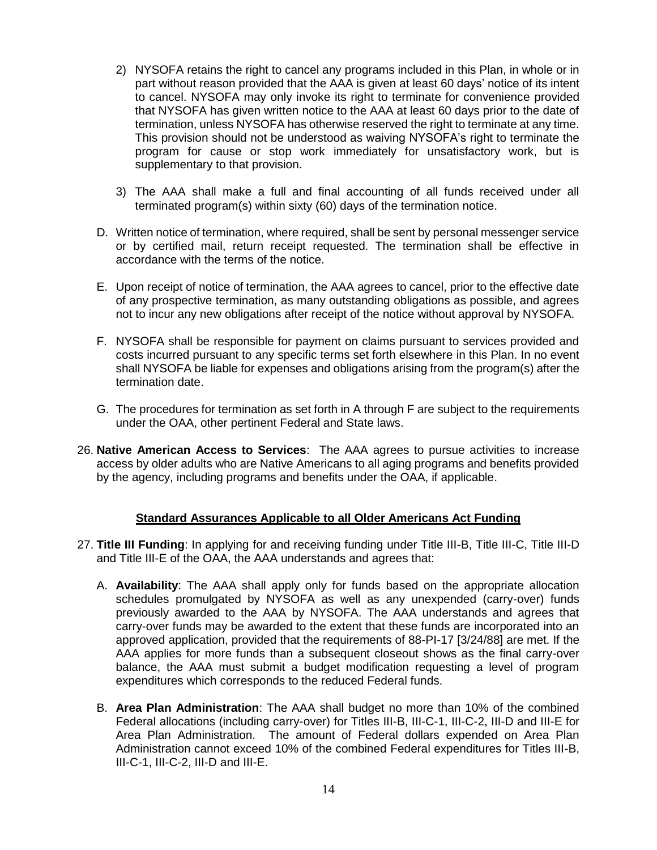- 2) NYSOFA retains the right to cancel any programs included in this Plan, in whole or in part without reason provided that the AAA is given at least 60 days' notice of its intent to cancel. NYSOFA may only invoke its right to terminate for convenience provided that NYSOFA has given written notice to the AAA at least 60 days prior to the date of termination, unless NYSOFA has otherwise reserved the right to terminate at any time. This provision should not be understood as waiving NYSOFA's right to terminate the program for cause or stop work immediately for unsatisfactory work, but is supplementary to that provision.
- 3) The AAA shall make a full and final accounting of all funds received under all terminated program(s) within sixty (60) days of the termination notice.
- D. Written notice of termination, where required, shall be sent by personal messenger service or by certified mail, return receipt requested. The termination shall be effective in accordance with the terms of the notice.
- E. Upon receipt of notice of termination, the AAA agrees to cancel, prior to the effective date of any prospective termination, as many outstanding obligations as possible, and agrees not to incur any new obligations after receipt of the notice without approval by NYSOFA.
- F. NYSOFA shall be responsible for payment on claims pursuant to services provided and costs incurred pursuant to any specific terms set forth elsewhere in this Plan. In no event shall NYSOFA be liable for expenses and obligations arising from the program(s) after the termination date.
- G. The procedures for termination as set forth in A through F are subject to the requirements under the OAA, other pertinent Federal and State laws.
- 26. **Native American Access to Services**: The AAA agrees to pursue activities to increase access by older adults who are Native Americans to all aging programs and benefits provided by the agency, including programs and benefits under the OAA, if applicable.

## **Standard Assurances Applicable to all Older Americans Act Funding**

- 27. **Title III Funding**: In applying for and receiving funding under Title III-B, Title III-C, Title III-D and Title III-E of the OAA, the AAA understands and agrees that:
	- A. **Availability**: The AAA shall apply only for funds based on the appropriate allocation schedules promulgated by NYSOFA as well as any unexpended (carry-over) funds previously awarded to the AAA by NYSOFA. The AAA understands and agrees that carry-over funds may be awarded to the extent that these funds are incorporated into an approved application, provided that the requirements of 88-PI-17 [3/24/88] are met. If the AAA applies for more funds than a subsequent closeout shows as the final carry-over balance, the AAA must submit a budget modification requesting a level of program expenditures which corresponds to the reduced Federal funds.
	- B. **Area Plan Administration**: The AAA shall budget no more than 10% of the combined Federal allocations (including carry-over) for Titles III-B, III-C-1, III-C-2, III-D and III-E for Area Plan Administration. The amount of Federal dollars expended on Area Plan Administration cannot exceed 10% of the combined Federal expenditures for Titles III-B, III-C-1, III-C-2, III-D and III-E.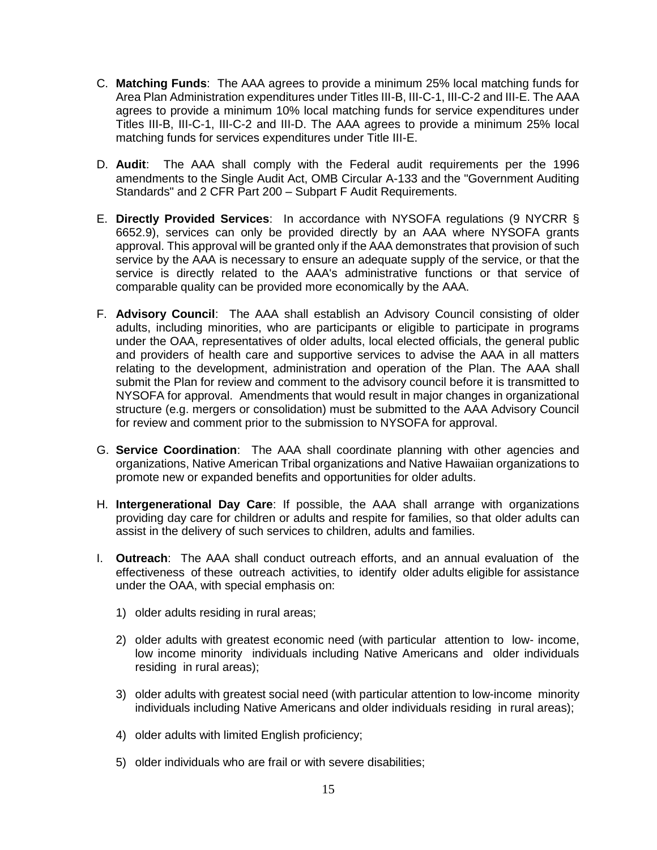- C. **Matching Funds**: The AAA agrees to provide a minimum 25% local matching funds for Area Plan Administration expenditures under Titles III-B, III-C-1, III-C-2 and III-E. The AAA agrees to provide a minimum 10% local matching funds for service expenditures under Titles III-B, III-C-1, III-C-2 and III-D. The AAA agrees to provide a minimum 25% local matching funds for services expenditures under Title III-E.
- D. **Audit**: The AAA shall comply with the Federal audit requirements per the 1996 amendments to the Single Audit Act, OMB Circular A-133 and the "Government Auditing Standards" and 2 CFR Part 200 – Subpart F Audit Requirements.
- E. **Directly Provided Services**: In accordance with NYSOFA regulations (9 NYCRR § 6652.9), services can only be provided directly by an AAA where NYSOFA grants approval. This approval will be granted only if the AAA demonstrates that provision of such service by the AAA is necessary to ensure an adequate supply of the service, or that the service is directly related to the AAA's administrative functions or that service of comparable quality can be provided more economically by the AAA.
- F. **Advisory Council**: The AAA shall establish an Advisory Council consisting of older adults, including minorities, who are participants or eligible to participate in programs under the OAA, representatives of older adults, local elected officials, the general public and providers of health care and supportive services to advise the AAA in all matters relating to the development, administration and operation of the Plan. The AAA shall submit the Plan for review and comment to the advisory council before it is transmitted to NYSOFA for approval. Amendments that would result in major changes in organizational structure (e.g. mergers or consolidation) must be submitted to the AAA Advisory Council for review and comment prior to the submission to NYSOFA for approval.
- G. **Service Coordination**: The AAA shall coordinate planning with other agencies and organizations, Native American Tribal organizations and Native Hawaiian organizations to promote new or expanded benefits and opportunities for older adults.
- H. **Intergenerational Day Care**: If possible, the AAA shall arrange with organizations providing day care for children or adults and respite for families, so that older adults can assist in the delivery of such services to children, adults and families.
- I. **Outreach**: The AAA shall conduct outreach efforts, and an annual evaluation of the effectiveness of these outreach activities, to identify older adults eligible for assistance under the OAA, with special emphasis on:
	- 1) older adults residing in rural areas;
	- 2) older adults with greatest economic need (with particular attention to low- income, low income minority individuals including Native Americans and older individuals residing in rural areas);
	- 3) older adults with greatest social need (with particular attention to low-income minority individuals including Native Americans and older individuals residing in rural areas);
	- 4) older adults with limited English proficiency;
	- 5) older individuals who are frail or with severe disabilities;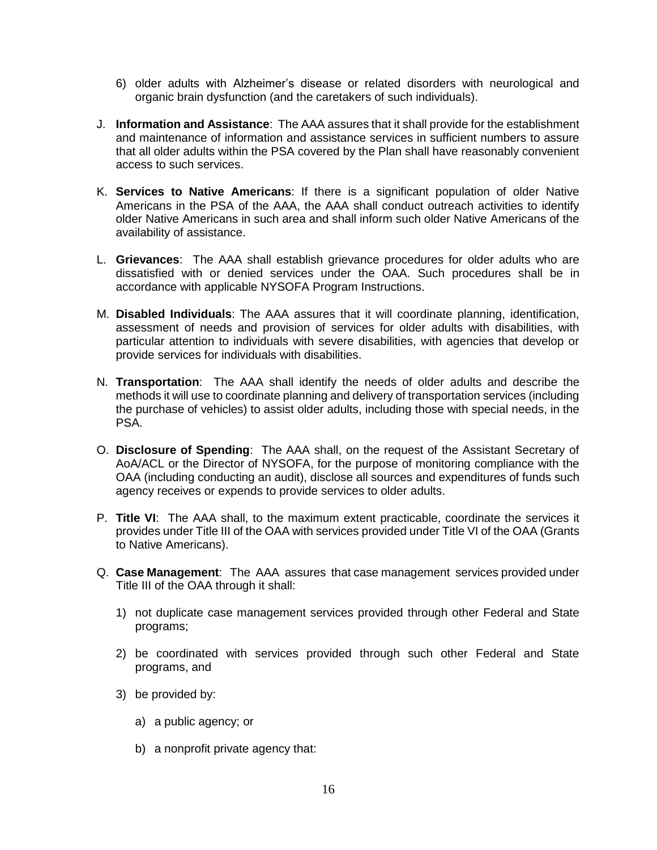- 6) older adults with Alzheimer's disease or related disorders with neurological and organic brain dysfunction (and the caretakers of such individuals).
- J. **Information and Assistance**: The AAA assures that it shall provide for the establishment and maintenance of information and assistance services in sufficient numbers to assure that all older adults within the PSA covered by the Plan shall have reasonably convenient access to such services.
- K. **Services to Native Americans**: If there is a significant population of older Native Americans in the PSA of the AAA, the AAA shall conduct outreach activities to identify older Native Americans in such area and shall inform such older Native Americans of the availability of assistance.
- L. **Grievances**: The AAA shall establish grievance procedures for older adults who are dissatisfied with or denied services under the OAA. Such procedures shall be in accordance with applicable NYSOFA Program Instructions.
- M. **Disabled Individuals**: The AAA assures that it will coordinate planning, identification, assessment of needs and provision of services for older adults with disabilities, with particular attention to individuals with severe disabilities, with agencies that develop or provide services for individuals with disabilities.
- N. **Transportation**: The AAA shall identify the needs of older adults and describe the methods it will use to coordinate planning and delivery of transportation services (including the purchase of vehicles) to assist older adults, including those with special needs, in the PSA.
- O. **Disclosure of Spending**: The AAA shall, on the request of the Assistant Secretary of AoA/ACL or the Director of NYSOFA, for the purpose of monitoring compliance with the OAA (including conducting an audit), disclose all sources and expenditures of funds such agency receives or expends to provide services to older adults.
- P. **Title VI**: The AAA shall, to the maximum extent practicable, coordinate the services it provides under Title III of the OAA with services provided under Title VI of the OAA (Grants to Native Americans).
- Q. **Case Management**: The AAA assures that case management services provided under Title III of the OAA through it shall:
	- 1) not duplicate case management services provided through other Federal and State programs;
	- 2) be coordinated with services provided through such other Federal and State programs, and
	- 3) be provided by:
		- a) a public agency; or
		- b) a nonprofit private agency that: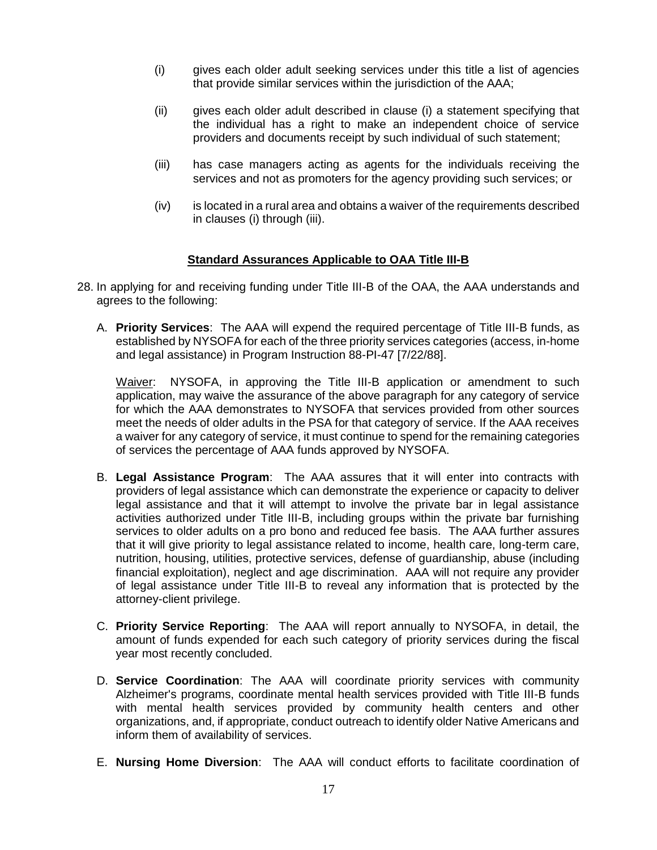- (i) gives each older adult seeking services under this title a list of agencies that provide similar services within the jurisdiction of the AAA;
- (ii) gives each older adult described in clause (i) a statement specifying that the individual has a right to make an independent choice of service providers and documents receipt by such individual of such statement;
- (iii) has case managers acting as agents for the individuals receiving the services and not as promoters for the agency providing such services; or
- (iv) is located in a rural area and obtains a waiver of the requirements described in clauses (i) through (iii).

## **Standard Assurances Applicable to OAA Title III-B**

- 28. In applying for and receiving funding under Title III-B of the OAA, the AAA understands and agrees to the following:
	- A. **Priority Services**: The AAA will expend the required percentage of Title III-B funds, as established by NYSOFA for each of the three priority services categories (access, in-home and legal assistance) in Program Instruction 88-PI-47 [7/22/88].

Waiver: NYSOFA, in approving the Title III-B application or amendment to such application, may waive the assurance of the above paragraph for any category of service for which the AAA demonstrates to NYSOFA that services provided from other sources meet the needs of older adults in the PSA for that category of service. If the AAA receives a waiver for any category of service, it must continue to spend for the remaining categories of services the percentage of AAA funds approved by NYSOFA.

- B. **Legal Assistance Program**: The AAA assures that it will enter into contracts with providers of legal assistance which can demonstrate the experience or capacity to deliver legal assistance and that it will attempt to involve the private bar in legal assistance activities authorized under Title III-B, including groups within the private bar furnishing services to older adults on a pro bono and reduced fee basis. The AAA further assures that it will give priority to legal assistance related to income, health care, long-term care, nutrition, housing, utilities, protective services, defense of guardianship, abuse (including financial exploitation), neglect and age discrimination. AAA will not require any provider of legal assistance under Title III-B to reveal any information that is protected by the attorney-client privilege.
- C. **Priority Service Reporting**: The AAA will report annually to NYSOFA, in detail, the amount of funds expended for each such category of priority services during the fiscal year most recently concluded.
- D. **Service Coordination**: The AAA will coordinate priority services with community Alzheimer's programs, coordinate mental health services provided with Title III-B funds with mental health services provided by community health centers and other organizations, and, if appropriate, conduct outreach to identify older Native Americans and inform them of availability of services.
- E. **Nursing Home Diversion**: The AAA will conduct efforts to facilitate coordination of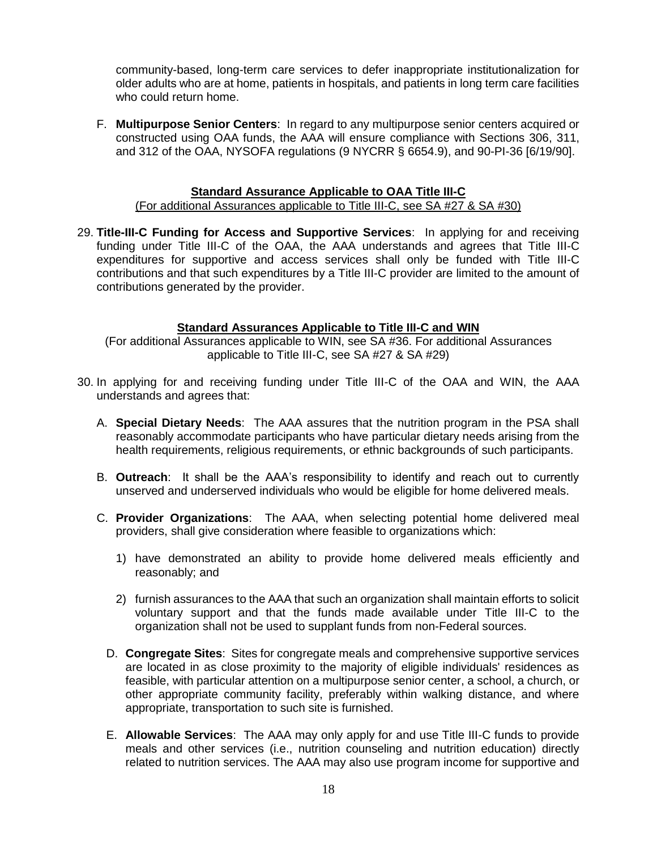community-based, long-term care services to defer inappropriate institutionalization for older adults who are at home, patients in hospitals, and patients in long term care facilities who could return home.

F. **Multipurpose Senior Centers**: In regard to any multipurpose senior centers acquired or constructed using OAA funds, the AAA will ensure compliance with Sections 306, 311, and 312 of the OAA, NYSOFA regulations (9 NYCRR § 6654.9), and 90-PI-36 [6/19/90].

#### **Standard Assurance Applicable to OAA Title III-C**

#### (For additional Assurances applicable to Title III-C, see SA #27 & SA #30)

29. **Title-III-C Funding for Access and Supportive Services**: In applying for and receiving funding under Title III-C of the OAA, the AAA understands and agrees that Title III-C expenditures for supportive and access services shall only be funded with Title III-C contributions and that such expenditures by a Title III-C provider are limited to the amount of contributions generated by the provider.

#### **Standard Assurances Applicable to Title III-C and WIN**

(For additional Assurances applicable to WIN, see SA #36. For additional Assurances applicable to Title III-C, see SA #27 & SA #29)

- 30. In applying for and receiving funding under Title III-C of the OAA and WIN, the AAA understands and agrees that:
	- A. **Special Dietary Needs**: The AAA assures that the nutrition program in the PSA shall reasonably accommodate participants who have particular dietary needs arising from the health requirements, religious requirements, or ethnic backgrounds of such participants.
	- B. **Outreach**: It shall be the AAA's responsibility to identify and reach out to currently unserved and underserved individuals who would be eligible for home delivered meals.
	- C. **Provider Organizations**: The AAA, when selecting potential home delivered meal providers, shall give consideration where feasible to organizations which:
		- 1) have demonstrated an ability to provide home delivered meals efficiently and reasonably; and
		- 2) furnish assurances to the AAA that such an organization shall maintain efforts to solicit voluntary support and that the funds made available under Title III-C to the organization shall not be used to supplant funds from non-Federal sources.
		- D. **Congregate Sites**: Sites for congregate meals and comprehensive supportive services are located in as close proximity to the majority of eligible individuals' residences as feasible, with particular attention on a multipurpose senior center, a school, a church, or other appropriate community facility, preferably within walking distance, and where appropriate, transportation to such site is furnished.
		- E. **Allowable Services**: The AAA may only apply for and use Title III-C funds to provide meals and other services (i.e., nutrition counseling and nutrition education) directly related to nutrition services. The AAA may also use program income for supportive and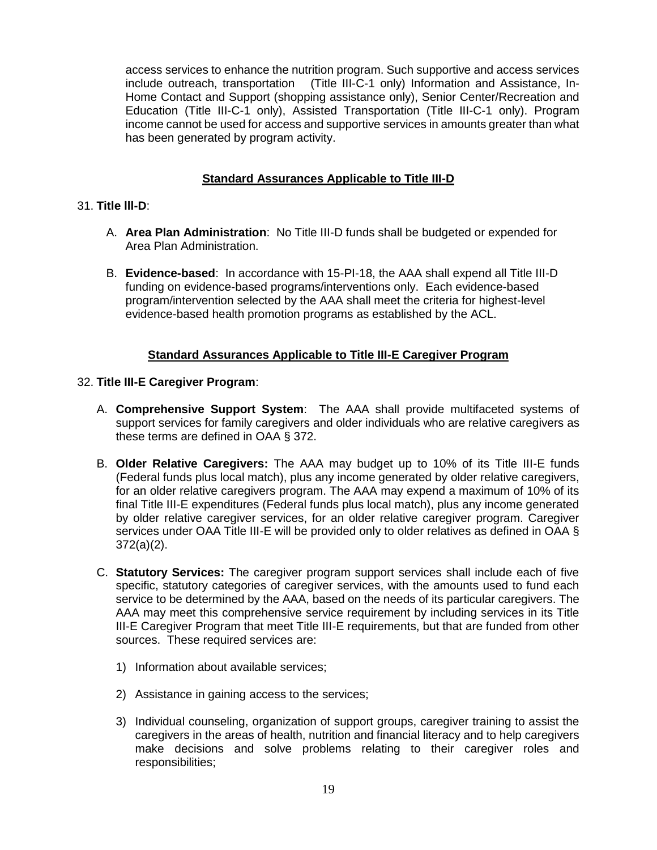access services to enhance the nutrition program. Such supportive and access services include outreach, transportation (Title III-C-1 only) Information and Assistance, In-Home Contact and Support (shopping assistance only), Senior Center/Recreation and Education (Title III-C-1 only), Assisted Transportation (Title III-C-1 only). Program income cannot be used for access and supportive services in amounts greater than what has been generated by program activity.

## **Standard Assurances Applicable to Title III-D**

## 31. **Title lll-D**:

- A. **Area Plan Administration**: No Title III-D funds shall be budgeted or expended for Area Plan Administration.
- B. **Evidence-based**: In accordance with 15-PI-18, the AAA shall expend all Title III-D funding on evidence-based programs/interventions only. Each evidence-based program/intervention selected by the AAA shall meet the criteria for highest-level evidence-based health promotion programs as established by the ACL.

## **Standard Assurances Applicable to Title III-E Caregiver Program**

#### 32. **Title III-E Caregiver Program**:

- A. **Comprehensive Support System**: The AAA shall provide multifaceted systems of support services for family caregivers and older individuals who are relative caregivers as these terms are defined in OAA § 372.
- B. **Older Relative Caregivers:** The AAA may budget up to 10% of its Title III-E funds (Federal funds plus local match), plus any income generated by older relative caregivers, for an older relative caregivers program. The AAA may expend a maximum of 10% of its final Title III-E expenditures (Federal funds plus local match), plus any income generated by older relative caregiver services, for an older relative caregiver program. Caregiver services under OAA Title III-E will be provided only to older relatives as defined in OAA § 372(a)(2).
- C. **Statutory Services:** The caregiver program support services shall include each of five specific, statutory categories of caregiver services, with the amounts used to fund each service to be determined by the AAA, based on the needs of its particular caregivers. The AAA may meet this comprehensive service requirement by including services in its Title III-E Caregiver Program that meet Title III-E requirements, but that are funded from other sources. These required services are:
	- 1) Information about available services;
	- 2) Assistance in gaining access to the services;
	- 3) Individual counseling, organization of support groups, caregiver training to assist the caregivers in the areas of health, nutrition and financial literacy and to help caregivers make decisions and solve problems relating to their caregiver roles and responsibilities;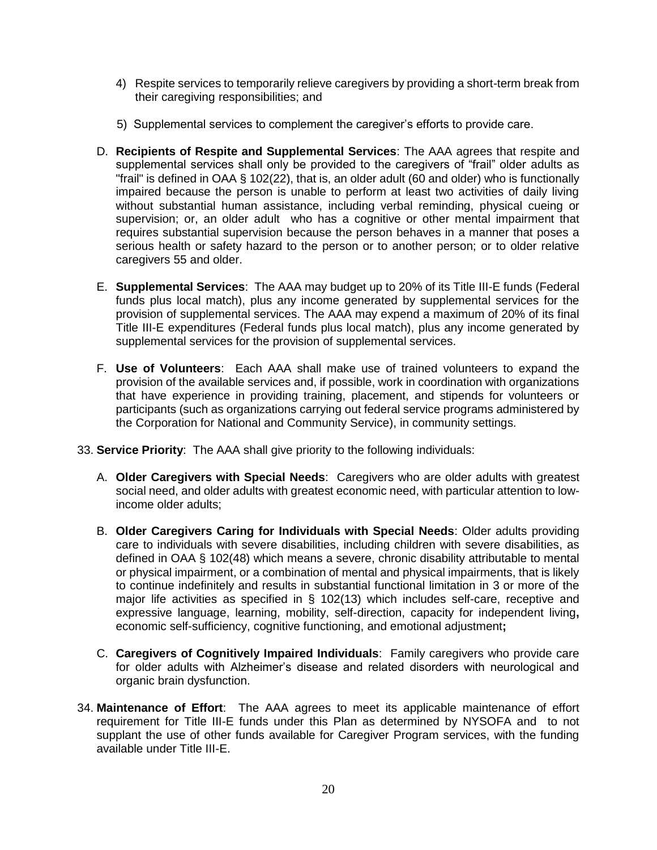- 4) Respite services to temporarily relieve caregivers by providing a short-term break from their caregiving responsibilities; and
- 5) Supplemental services to complement the caregiver's efforts to provide care.
- D. **Recipients of Respite and Supplemental Services**: The AAA agrees that respite and supplemental services shall only be provided to the caregivers of "frail" older adults as "frail" is defined in OAA § 102(22), that is, an older adult ( $60$  and older) who is functionally impaired because the person is unable to perform at least two activities of daily living without substantial human assistance, including verbal reminding, physical cueing or supervision; or, an older adult who has a cognitive or other mental impairment that requires substantial supervision because the person behaves in a manner that poses a serious health or safety hazard to the person or to another person; or to older relative caregivers 55 and older.
- E. **Supplemental Services**: The AAA may budget up to 20% of its Title III-E funds (Federal funds plus local match), plus any income generated by supplemental services for the provision of supplemental services. The AAA may expend a maximum of 20% of its final Title III-E expenditures (Federal funds plus local match), plus any income generated by supplemental services for the provision of supplemental services.
- F. **Use of Volunteers**: Each AAA shall make use of trained volunteers to expand the provision of the available services and, if possible, work in coordination with organizations that have experience in providing training, placement, and stipends for volunteers or participants (such as organizations carrying out federal service programs administered by the Corporation for National and Community Service), in community settings.
- 33. **Service Priority**: The AAA shall give priority to the following individuals:
	- A. **Older Caregivers with Special Needs**: Caregivers who are older adults with greatest social need, and older adults with greatest economic need, with particular attention to lowincome older adults;
	- B. **Older Caregivers Caring for Individuals with Special Needs**: Older adults providing care to individuals with severe disabilities, including children with severe disabilities, as defined in OAA § 102(48) which means a severe, chronic disability attributable to mental or physical impairment, or a combination of mental and physical impairments, that is likely to continue indefinitely and results in substantial functional limitation in 3 or more of the major life activities as specified in § 102(13) which includes self-care, receptive and expressive language, learning, mobility, self-direction, capacity for independent living**,**  economic self-sufficiency, cognitive functioning, and emotional adjustment**;**
	- C. **Caregivers of Cognitively Impaired Individuals**: Family caregivers who provide care for older adults with Alzheimer's disease and related disorders with neurological and organic brain dysfunction.
- 34. **Maintenance of Effort**: The AAA agrees to meet its applicable maintenance of effort requirement for Title III-E funds under this Plan as determined by NYSOFA and to not supplant the use of other funds available for Caregiver Program services, with the funding available under Title III-E.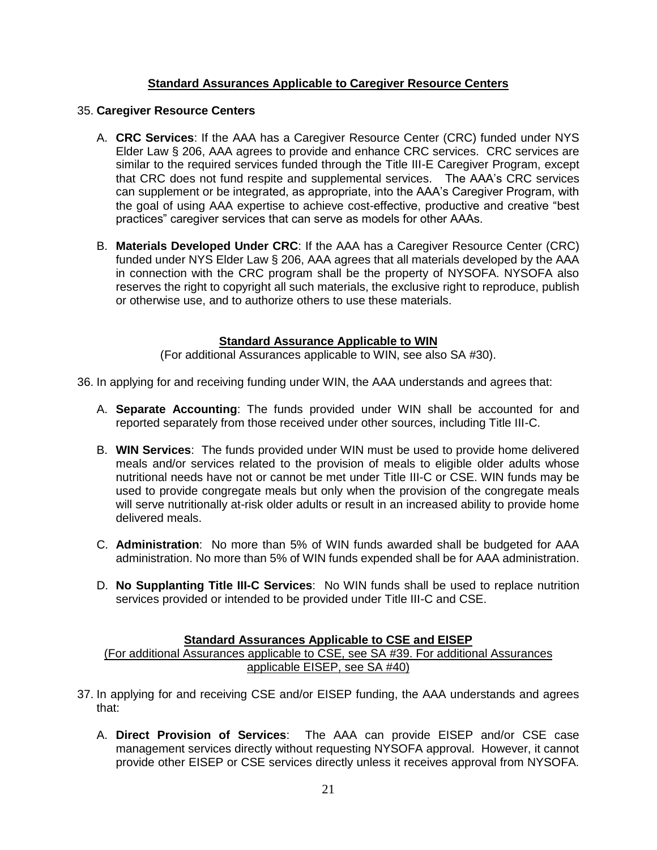## **Standard Assurances Applicable to Caregiver Resource Centers**

#### 35. **Caregiver Resource Centers**

- A. **CRC Services**: If the AAA has a Caregiver Resource Center (CRC) funded under NYS Elder Law § 206, AAA agrees to provide and enhance CRC services. CRC services are similar to the required services funded through the Title III-E Caregiver Program, except that CRC does not fund respite and supplemental services. The AAA's CRC services can supplement or be integrated, as appropriate, into the AAA's Caregiver Program, with the goal of using AAA expertise to achieve cost-effective, productive and creative "best practices" caregiver services that can serve as models for other AAAs.
- B. **Materials Developed Under CRC**: If the AAA has a Caregiver Resource Center (CRC) funded under NYS Elder Law § 206, AAA agrees that all materials developed by the AAA in connection with the CRC program shall be the property of NYSOFA. NYSOFA also reserves the right to copyright all such materials, the exclusive right to reproduce, publish or otherwise use, and to authorize others to use these materials.

## **Standard Assurance Applicable to WIN**

(For additional Assurances applicable to WIN, see also SA #30).

36. In applying for and receiving funding under WIN, the AAA understands and agrees that:

- A. **Separate Accounting**: The funds provided under WIN shall be accounted for and reported separately from those received under other sources, including Title III-C.
- B. **WIN Services**: The funds provided under WIN must be used to provide home delivered meals and/or services related to the provision of meals to eligible older adults whose nutritional needs have not or cannot be met under Title III-C or CSE. WIN funds may be used to provide congregate meals but only when the provision of the congregate meals will serve nutritionally at-risk older adults or result in an increased ability to provide home delivered meals.
- C. **Administration**: No more than 5% of WIN funds awarded shall be budgeted for AAA administration. No more than 5% of WIN funds expended shall be for AAA administration.
- D. **No Supplanting Title III-C Services**: No WIN funds shall be used to replace nutrition services provided or intended to be provided under Title III-C and CSE.

## **Standard Assurances Applicable to CSE and EISEP**

(For additional Assurances applicable to CSE, see SA #39. For additional Assurances applicable EISEP, see SA #40)

- 37. In applying for and receiving CSE and/or EISEP funding, the AAA understands and agrees that:
	- A. **Direct Provision of Services**: The AAA can provide EISEP and/or CSE case management services directly without requesting NYSOFA approval. However, it cannot provide other EISEP or CSE services directly unless it receives approval from NYSOFA.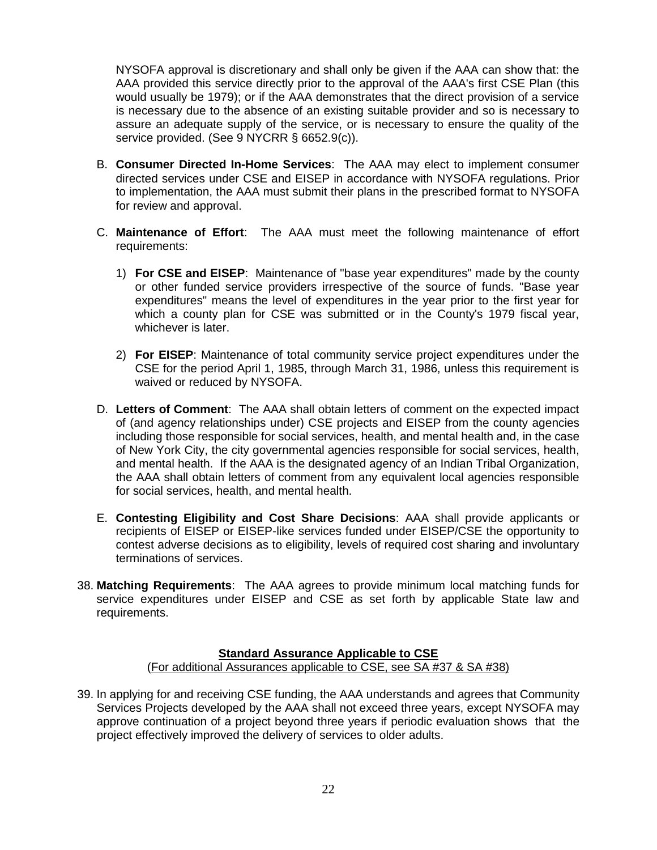NYSOFA approval is discretionary and shall only be given if the AAA can show that: the AAA provided this service directly prior to the approval of the AAA's first CSE Plan (this would usually be 1979); or if the AAA demonstrates that the direct provision of a service is necessary due to the absence of an existing suitable provider and so is necessary to assure an adequate supply of the service, or is necessary to ensure the quality of the service provided. (See 9 NYCRR § 6652.9(c)).

- B. **Consumer Directed In-Home Services**: The AAA may elect to implement consumer directed services under CSE and EISEP in accordance with NYSOFA regulations. Prior to implementation, the AAA must submit their plans in the prescribed format to NYSOFA for review and approval.
- C. **Maintenance of Effort**: The AAA must meet the following maintenance of effort requirements:
	- 1) **For CSE and EISEP**: Maintenance of "base year expenditures" made by the county or other funded service providers irrespective of the source of funds. "Base year expenditures" means the level of expenditures in the year prior to the first year for which a county plan for CSE was submitted or in the County's 1979 fiscal year, whichever is later.
	- 2) **For EISEP**: Maintenance of total community service project expenditures under the CSE for the period April 1, 1985, through March 31, 1986, unless this requirement is waived or reduced by NYSOFA.
- D. **Letters of Comment**: The AAA shall obtain letters of comment on the expected impact of (and agency relationships under) CSE projects and EISEP from the county agencies including those responsible for social services, health, and mental health and, in the case of New York City, the city governmental agencies responsible for social services, health, and mental health. If the AAA is the designated agency of an Indian Tribal Organization, the AAA shall obtain letters of comment from any equivalent local agencies responsible for social services, health, and mental health.
- E. **Contesting Eligibility and Cost Share Decisions**: AAA shall provide applicants or recipients of EISEP or EISEP-like services funded under EISEP/CSE the opportunity to contest adverse decisions as to eligibility, levels of required cost sharing and involuntary terminations of services.
- 38. **Matching Requirements**: The AAA agrees to provide minimum local matching funds for service expenditures under EISEP and CSE as set forth by applicable State law and requirements.

# **Standard Assurance Applicable to CSE**

# (For additional Assurances applicable to CSE, see SA #37 & SA #38)

39. In applying for and receiving CSE funding, the AAA understands and agrees that Community Services Projects developed by the AAA shall not exceed three years, except NYSOFA may approve continuation of a project beyond three years if periodic evaluation shows that the project effectively improved the delivery of services to older adults.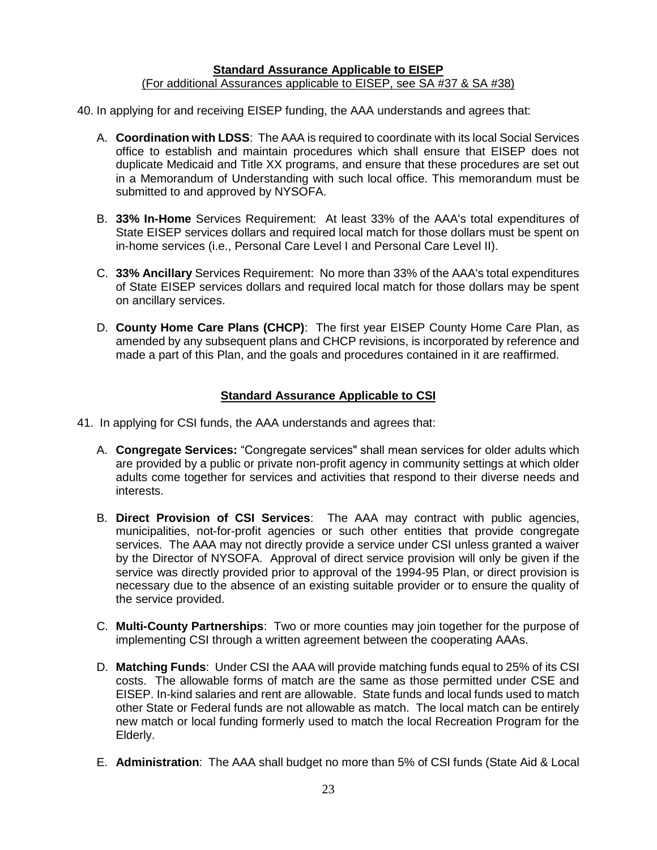#### **Standard Assurance Applicable to EISEP** (For additional Assurances applicable to EISEP, see SA #37 & SA #38)

40. In applying for and receiving EISEP funding, the AAA understands and agrees that:

- A. **Coordination with LDSS**: The AAA is required to coordinate with its local Social Services office to establish and maintain procedures which shall ensure that EISEP does not duplicate Medicaid and Title XX programs, and ensure that these procedures are set out in a Memorandum of Understanding with such local office. This memorandum must be submitted to and approved by NYSOFA.
- B. **33% In-Home** Services Requirement: At least 33% of the AAA's total expenditures of State EISEP services dollars and required local match for those dollars must be spent on in-home services (i.e., Personal Care Level I and Personal Care Level II).
- C. **33% Ancillary** Services Requirement: No more than 33% of the AAA's total expenditures of State EISEP services dollars and required local match for those dollars may be spent on ancillary services.
- D. **County Home Care Plans (CHCP)**: The first year EISEP County Home Care Plan, as amended by any subsequent plans and CHCP revisions, is incorporated by reference and made a part of this Plan, and the goals and procedures contained in it are reaffirmed.

## **Standard Assurance Applicable to CSI**

- 41. In applying for CSI funds, the AAA understands and agrees that:
	- A. **Congregate Services:** "Congregate services" shall mean services for older adults which are provided by a public or private non-profit agency in community settings at which older adults come together for services and activities that respond to their diverse needs and interests.
	- B. **Direct Provision of CSI Services**: The AAA may contract with public agencies, municipalities, not-for-profit agencies or such other entities that provide congregate services. The AAA may not directly provide a service under CSI unless granted a waiver by the Director of NYSOFA. Approval of direct service provision will only be given if the service was directly provided prior to approval of the 1994-95 Plan, or direct provision is necessary due to the absence of an existing suitable provider or to ensure the quality of the service provided.
	- C. **Multi-County Partnerships**: Two or more counties may join together for the purpose of implementing CSI through a written agreement between the cooperating AAAs.
	- D. **Matching Funds**: Under CSI the AAA will provide matching funds equal to 25% of its CSI costs. The allowable forms of match are the same as those permitted under CSE and EISEP. In-kind salaries and rent are allowable. State funds and local funds used to match other State or Federal funds are not allowable as match. The local match can be entirely new match or local funding formerly used to match the local Recreation Program for the Elderly.
	- E. **Administration**: The AAA shall budget no more than 5% of CSI funds (State Aid & Local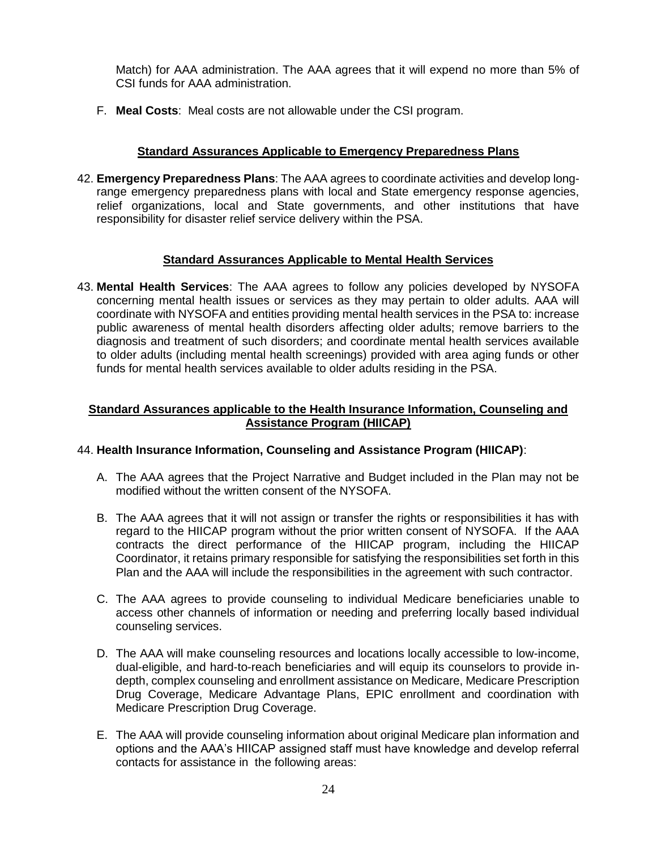Match) for AAA administration. The AAA agrees that it will expend no more than 5% of CSI funds for AAA administration.

F. **Meal Costs**: Meal costs are not allowable under the CSI program.

## **Standard Assurances Applicable to Emergency Preparedness Plans**

42. **Emergency Preparedness Plans**: The AAA agrees to coordinate activities and develop longrange emergency preparedness plans with local and State emergency response agencies, relief organizations, local and State governments, and other institutions that have responsibility for disaster relief service delivery within the PSA.

## **Standard Assurances Applicable to Mental Health Services**

43. **Mental Health Services**: The AAA agrees to follow any policies developed by NYSOFA concerning mental health issues or services as they may pertain to older adults. AAA will coordinate with NYSOFA and entities providing mental health services in the PSA to: increase public awareness of mental health disorders affecting older adults; remove barriers to the diagnosis and treatment of such disorders; and coordinate mental health services available to older adults (including mental health screenings) provided with area aging funds or other funds for mental health services available to older adults residing in the PSA.

## **Standard Assurances applicable to the Health Insurance Information, Counseling and Assistance Program (HIICAP)**

## 44. **Health Insurance Information, Counseling and Assistance Program (HIICAP)**:

- A. The AAA agrees that the Project Narrative and Budget included in the Plan may not be modified without the written consent of the NYSOFA.
- B. The AAA agrees that it will not assign or transfer the rights or responsibilities it has with regard to the HIICAP program without the prior written consent of NYSOFA. If the AAA contracts the direct performance of the HIICAP program, including the HIICAP Coordinator, it retains primary responsible for satisfying the responsibilities set forth in this Plan and the AAA will include the responsibilities in the agreement with such contractor.
- C. The AAA agrees to provide counseling to individual Medicare beneficiaries unable to access other channels of information or needing and preferring locally based individual counseling services.
- D. The AAA will make counseling resources and locations locally accessible to low-income, dual-eligible, and hard-to-reach beneficiaries and will equip its counselors to provide indepth, complex counseling and enrollment assistance on Medicare, Medicare Prescription Drug Coverage, Medicare Advantage Plans, EPIC enrollment and coordination with Medicare Prescription Drug Coverage.
- E. The AAA will provide counseling information about original Medicare plan information and options and the AAA's HIICAP assigned staff must have knowledge and develop referral contacts for assistance in the following areas: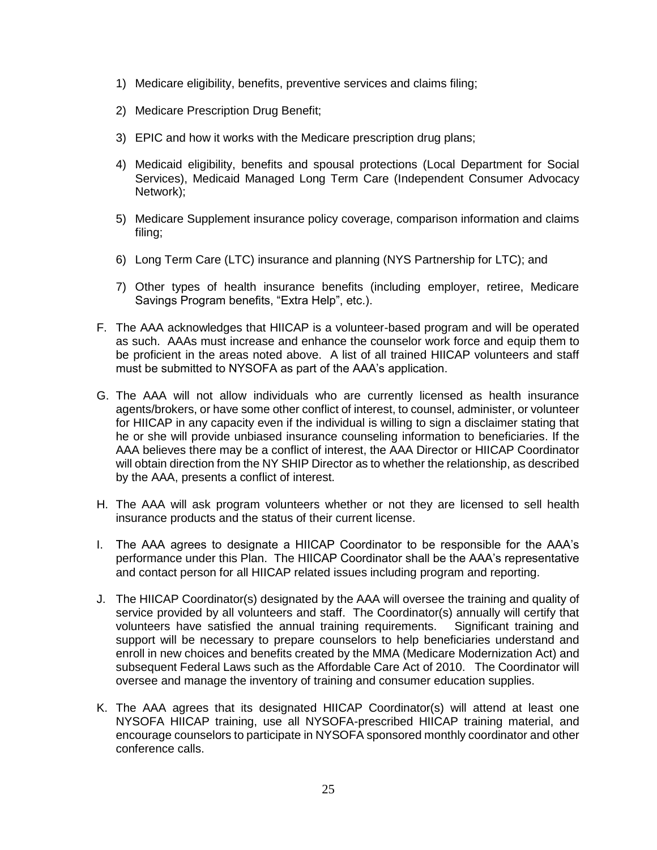- 1) Medicare eligibility, benefits, preventive services and claims filing;
- 2) Medicare Prescription Drug Benefit;
- 3) EPIC and how it works with the Medicare prescription drug plans;
- 4) Medicaid eligibility, benefits and spousal protections (Local Department for Social Services), Medicaid Managed Long Term Care (Independent Consumer Advocacy Network);
- 5) Medicare Supplement insurance policy coverage, comparison information and claims filing;
- 6) Long Term Care (LTC) insurance and planning (NYS Partnership for LTC); and
- 7) Other types of health insurance benefits (including employer, retiree, Medicare Savings Program benefits, "Extra Help", etc.).
- F. The AAA acknowledges that HIICAP is a volunteer-based program and will be operated as such. AAAs must increase and enhance the counselor work force and equip them to be proficient in the areas noted above. A list of all trained HIICAP volunteers and staff must be submitted to NYSOFA as part of the AAA's application.
- G. The AAA will not allow individuals who are currently licensed as health insurance agents/brokers, or have some other conflict of interest, to counsel, administer, or volunteer for HIICAP in any capacity even if the individual is willing to sign a disclaimer stating that he or she will provide unbiased insurance counseling information to beneficiaries. If the AAA believes there may be a conflict of interest, the AAA Director or HIICAP Coordinator will obtain direction from the NY SHIP Director as to whether the relationship, as described by the AAA, presents a conflict of interest.
- H. The AAA will ask program volunteers whether or not they are licensed to sell health insurance products and the status of their current license.
- I. The AAA agrees to designate a HIICAP Coordinator to be responsible for the AAA's performance under this Plan. The HIICAP Coordinator shall be the AAA's representative and contact person for all HIICAP related issues including program and reporting.
- J. The HIICAP Coordinator(s) designated by the AAA will oversee the training and quality of service provided by all volunteers and staff. The Coordinator(s) annually will certify that volunteers have satisfied the annual training requirements. Significant training and support will be necessary to prepare counselors to help beneficiaries understand and enroll in new choices and benefits created by the MMA (Medicare Modernization Act) and subsequent Federal Laws such as the Affordable Care Act of 2010. The Coordinator will oversee and manage the inventory of training and consumer education supplies.
- K. The AAA agrees that its designated HIICAP Coordinator(s) will attend at least one NYSOFA HIICAP training, use all NYSOFA-prescribed HIICAP training material, and encourage counselors to participate in NYSOFA sponsored monthly coordinator and other conference calls.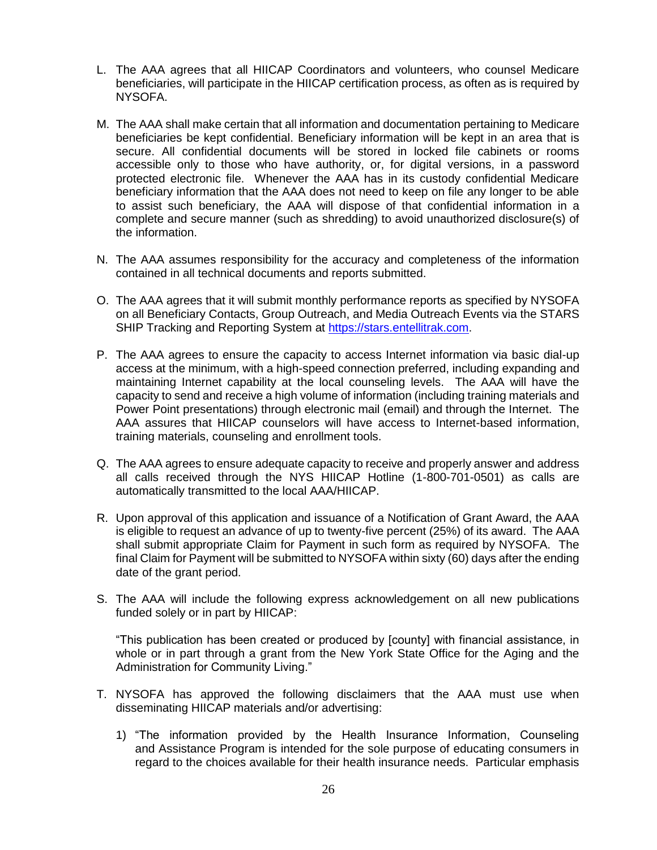- L. The AAA agrees that all HIICAP Coordinators and volunteers, who counsel Medicare beneficiaries, will participate in the HIICAP certification process, as often as is required by NYSOFA.
- M. The AAA shall make certain that all information and documentation pertaining to Medicare beneficiaries be kept confidential. Beneficiary information will be kept in an area that is secure. All confidential documents will be stored in locked file cabinets or rooms accessible only to those who have authority, or, for digital versions, in a password protected electronic file. Whenever the AAA has in its custody confidential Medicare beneficiary information that the AAA does not need to keep on file any longer to be able to assist such beneficiary, the AAA will dispose of that confidential information in a complete and secure manner (such as shredding) to avoid unauthorized disclosure(s) of the information.
- N. The AAA assumes responsibility for the accuracy and completeness of the information contained in all technical documents and reports submitted.
- O. The AAA agrees that it will submit monthly performance reports as specified by NYSOFA on all Beneficiary Contacts, Group Outreach, and Media Outreach Events via the STARS SHIP Tracking and Reporting System at [https://stars.entellitrak.com.](https://stars.entellitrak.com/)
- P. The AAA agrees to ensure the capacity to access Internet information via basic dial-up access at the minimum, with a high-speed connection preferred, including expanding and maintaining Internet capability at the local counseling levels. The AAA will have the capacity to send and receive a high volume of information (including training materials and Power Point presentations) through electronic mail (email) and through the Internet. The AAA assures that HIICAP counselors will have access to Internet-based information, training materials, counseling and enrollment tools.
- Q. The AAA agrees to ensure adequate capacity to receive and properly answer and address all calls received through the NYS HIICAP Hotline (1-800-701-0501) as calls are automatically transmitted to the local AAA/HIICAP.
- R. Upon approval of this application and issuance of a Notification of Grant Award, the AAA is eligible to request an advance of up to twenty-five percent (25%) of its award. The AAA shall submit appropriate Claim for Payment in such form as required by NYSOFA. The final Claim for Payment will be submitted to NYSOFA within sixty (60) days after the ending date of the grant period.
- S. The AAA will include the following express acknowledgement on all new publications funded solely or in part by HIICAP:

"This publication has been created or produced by [county] with financial assistance, in whole or in part through a grant from the New York State Office for the Aging and the Administration for Community Living."

- T. NYSOFA has approved the following disclaimers that the AAA must use when disseminating HIICAP materials and/or advertising:
	- 1) "The information provided by the Health Insurance Information, Counseling and Assistance Program is intended for the sole purpose of educating consumers in regard to the choices available for their health insurance needs. Particular emphasis